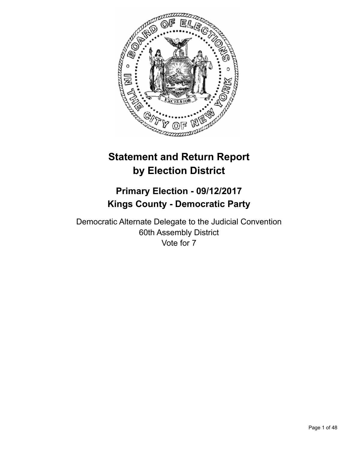

# **Statement and Return Report by Election District**

# **Primary Election - 09/12/2017 Kings County - Democratic Party**

Democratic Alternate Delegate to the Judicial Convention 60th Assembly District Vote for 7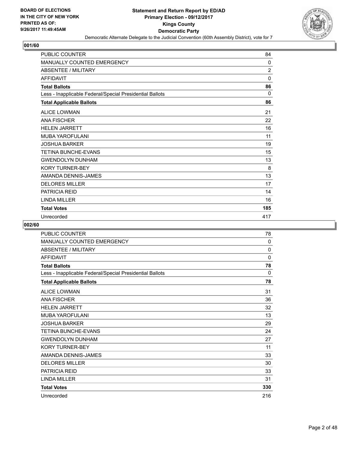

| PUBLIC COUNTER                                           | 84             |
|----------------------------------------------------------|----------------|
| MANUALLY COUNTED EMERGENCY                               | 0              |
| <b>ABSENTEE / MILITARY</b>                               | $\overline{2}$ |
| <b>AFFIDAVIT</b>                                         | 0              |
| <b>Total Ballots</b>                                     | 86             |
| Less - Inapplicable Federal/Special Presidential Ballots | $\Omega$       |
| <b>Total Applicable Ballots</b>                          | 86             |
| <b>ALICE LOWMAN</b>                                      | 21             |
| <b>ANA FISCHER</b>                                       | 22             |
| <b>HELEN JARRETT</b>                                     | 16             |
| MUBA YAROFULANI                                          | 11             |
| <b>JOSHUA BARKER</b>                                     | 19             |
| <b>TETINA BUNCHE-EVANS</b>                               | 15             |
| <b>GWENDOLYN DUNHAM</b>                                  | 13             |
| <b>KORY TURNER-BEY</b>                                   | 8              |
| AMANDA DENNIS-JAMES                                      | 13             |
| <b>DELORES MILLER</b>                                    | 17             |
| <b>PATRICIA REID</b>                                     | 14             |
| <b>LINDA MILLER</b>                                      | 16             |
| <b>Total Votes</b>                                       | 185            |
| Unrecorded                                               | 417            |

| PUBLIC COUNTER                                           | 78  |
|----------------------------------------------------------|-----|
| MANUALLY COUNTED EMERGENCY                               | 0   |
| <b>ABSENTEE / MILITARY</b>                               | 0   |
| <b>AFFIDAVIT</b>                                         | 0   |
| <b>Total Ballots</b>                                     | 78  |
| Less - Inapplicable Federal/Special Presidential Ballots | 0   |
| <b>Total Applicable Ballots</b>                          | 78  |
| <b>ALICE LOWMAN</b>                                      | 31  |
| <b>ANA FISCHER</b>                                       | 36  |
| <b>HELEN JARRETT</b>                                     | 32  |
| MUBA YAROFULANI                                          | 13  |
| <b>JOSHUA BARKER</b>                                     | 29  |
| <b>TETINA BUNCHE-EVANS</b>                               | 24  |
| <b>GWENDOLYN DUNHAM</b>                                  | 27  |
| <b>KORY TURNER-BEY</b>                                   | 11  |
| AMANDA DENNIS-JAMES                                      | 33  |
| <b>DELORES MILLER</b>                                    | 30  |
| <b>PATRICIA REID</b>                                     | 33  |
| <b>LINDA MILLER</b>                                      | 31  |
| <b>Total Votes</b>                                       | 330 |
| Unrecorded                                               | 216 |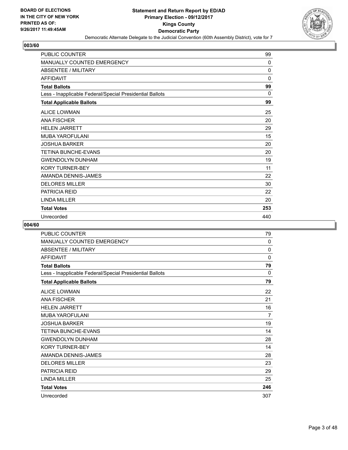

| <b>PUBLIC COUNTER</b>                                    | 99           |
|----------------------------------------------------------|--------------|
| MANUALLY COUNTED EMERGENCY                               | 0            |
| <b>ABSENTEE / MILITARY</b>                               | $\mathbf{0}$ |
| <b>AFFIDAVIT</b>                                         | $\mathbf{0}$ |
| <b>Total Ballots</b>                                     | 99           |
| Less - Inapplicable Federal/Special Presidential Ballots | 0            |
| <b>Total Applicable Ballots</b>                          | 99           |
| <b>ALICE LOWMAN</b>                                      | 25           |
| <b>ANA FISCHER</b>                                       | 20           |
| <b>HELEN JARRETT</b>                                     | 29           |
| <b>MUBA YAROFULANI</b>                                   | 15           |
| <b>JOSHUA BARKER</b>                                     | 20           |
| <b>TETINA BUNCHE-EVANS</b>                               | 20           |
| <b>GWENDOLYN DUNHAM</b>                                  | 19           |
| <b>KORY TURNER-BEY</b>                                   | 11           |
| AMANDA DENNIS-JAMES                                      | 22           |
| <b>DELORES MILLER</b>                                    | 30           |
| <b>PATRICIA REID</b>                                     | 22           |
| LINDA MILLER                                             | 20           |
| <b>Total Votes</b>                                       | 253          |
| Unrecorded                                               | 440          |

| PUBLIC COUNTER                                           | 79  |
|----------------------------------------------------------|-----|
| <b>MANUALLY COUNTED EMERGENCY</b>                        | 0   |
| <b>ABSENTEE / MILITARY</b>                               | 0   |
| <b>AFFIDAVIT</b>                                         | 0   |
| <b>Total Ballots</b>                                     | 79  |
| Less - Inapplicable Federal/Special Presidential Ballots | 0   |
| <b>Total Applicable Ballots</b>                          | 79  |
| <b>ALICE LOWMAN</b>                                      | 22  |
| <b>ANA FISCHER</b>                                       | 21  |
| <b>HELEN JARRETT</b>                                     | 16  |
| <b>MUBA YAROFULANI</b>                                   | 7   |
| <b>JOSHUA BARKER</b>                                     | 19  |
| <b>TETINA BUNCHE-EVANS</b>                               | 14  |
| <b>GWENDOLYN DUNHAM</b>                                  | 28  |
| <b>KORY TURNER-BEY</b>                                   | 14  |
| AMANDA DENNIS-JAMES                                      | 28  |
| <b>DELORES MILLER</b>                                    | 23  |
| <b>PATRICIA REID</b>                                     | 29  |
| <b>LINDA MILLER</b>                                      | 25  |
| <b>Total Votes</b>                                       | 246 |
| Unrecorded                                               | 307 |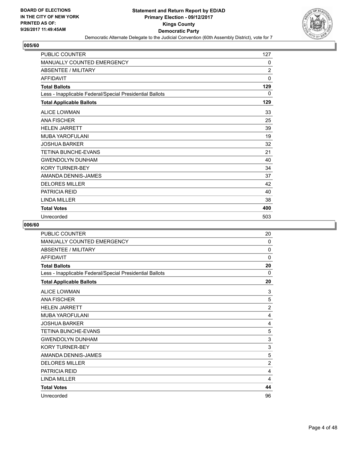

| <b>PUBLIC COUNTER</b>                                    | 127            |
|----------------------------------------------------------|----------------|
| MANUALLY COUNTED EMERGENCY                               | 0              |
| <b>ABSENTEE / MILITARY</b>                               | $\overline{2}$ |
| <b>AFFIDAVIT</b>                                         | $\mathbf 0$    |
| <b>Total Ballots</b>                                     | 129            |
| Less - Inapplicable Federal/Special Presidential Ballots | 0              |
| <b>Total Applicable Ballots</b>                          | 129            |
| <b>ALICE LOWMAN</b>                                      | 33             |
| <b>ANA FISCHER</b>                                       | 25             |
| <b>HELEN JARRETT</b>                                     | 39             |
| <b>MUBA YAROFULANI</b>                                   | 19             |
| <b>JOSHUA BARKER</b>                                     | 32             |
| <b>TETINA BUNCHE-EVANS</b>                               | 21             |
| <b>GWENDOLYN DUNHAM</b>                                  | 40             |
| <b>KORY TURNER-BEY</b>                                   | 34             |
| AMANDA DENNIS-JAMES                                      | 37             |
| <b>DELORES MILLER</b>                                    | 42             |
| <b>PATRICIA REID</b>                                     | 40             |
| <b>I INDA MILLER</b>                                     | 38             |
| <b>Total Votes</b>                                       | 400            |
| Unrecorded                                               | 503            |

| PUBLIC COUNTER                                           | 20             |
|----------------------------------------------------------|----------------|
| <b>MANUALLY COUNTED EMERGENCY</b>                        | 0              |
| <b>ABSENTEE / MILITARY</b>                               | 0              |
| <b>AFFIDAVIT</b>                                         | $\mathbf 0$    |
| <b>Total Ballots</b>                                     | 20             |
| Less - Inapplicable Federal/Special Presidential Ballots | 0              |
| <b>Total Applicable Ballots</b>                          | 20             |
| <b>ALICE LOWMAN</b>                                      | 3              |
| <b>ANA FISCHER</b>                                       | 5              |
| <b>HELEN JARRETT</b>                                     | $\overline{2}$ |
| MUBA YAROFULANI                                          | 4              |
| <b>JOSHUA BARKER</b>                                     | 4              |
| <b>TETINA BUNCHE-EVANS</b>                               | 5              |
| <b>GWENDOLYN DUNHAM</b>                                  | 3              |
| <b>KORY TURNER-BEY</b>                                   | 3              |
| AMANDA DENNIS-JAMES                                      | 5              |
| <b>DELORES MILLER</b>                                    | $\overline{2}$ |
| PATRICIA REID                                            | 4              |
| <b>LINDA MILLER</b>                                      | 4              |
| <b>Total Votes</b>                                       | 44             |
| Unrecorded                                               | 96             |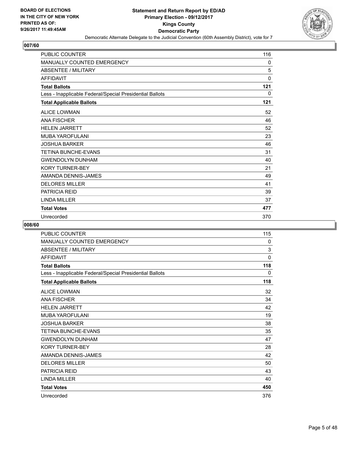

| <b>PUBLIC COUNTER</b>                                    | 116 |
|----------------------------------------------------------|-----|
| MANUALLY COUNTED EMERGENCY                               | 0   |
| <b>ABSENTEE / MILITARY</b>                               | 5   |
| <b>AFFIDAVIT</b>                                         | 0   |
| <b>Total Ballots</b>                                     | 121 |
| Less - Inapplicable Federal/Special Presidential Ballots | 0   |
| <b>Total Applicable Ballots</b>                          | 121 |
| <b>ALICE LOWMAN</b>                                      | 52  |
| <b>ANA FISCHER</b>                                       | 46  |
| <b>HELEN JARRETT</b>                                     | 52  |
| <b>MUBA YAROFULANI</b>                                   | 23  |
| <b>JOSHUA BARKER</b>                                     | 46  |
| <b>TETINA BUNCHE-EVANS</b>                               | 31  |
| <b>GWENDOLYN DUNHAM</b>                                  | 40  |
| <b>KORY TURNER-BEY</b>                                   | 21  |
| AMANDA DENNIS-JAMES                                      | 49  |
| <b>DELORES MILLER</b>                                    | 41  |
| <b>PATRICIA REID</b>                                     | 39  |
| <b>LINDA MILLER</b>                                      | 37  |
| <b>Total Votes</b>                                       | 477 |
| Unrecorded                                               | 370 |

| <b>PUBLIC COUNTER</b>                                    | 115         |
|----------------------------------------------------------|-------------|
| MANUALLY COUNTED EMERGENCY                               | 0           |
| <b>ABSENTEE / MILITARY</b>                               | 3           |
| <b>AFFIDAVIT</b>                                         | $\mathbf 0$ |
| <b>Total Ballots</b>                                     | 118         |
| Less - Inapplicable Federal/Special Presidential Ballots | 0           |
| <b>Total Applicable Ballots</b>                          | 118         |
| <b>ALICE LOWMAN</b>                                      | 32          |
| <b>ANA FISCHER</b>                                       | 34          |
| <b>HELEN JARRETT</b>                                     | 42          |
| MUBA YAROFULANI                                          | 19          |
| JOSHUA BARKER                                            | 38          |
| <b>TETINA BUNCHE-EVANS</b>                               | 35          |
| <b>GWENDOLYN DUNHAM</b>                                  | 47          |
| <b>KORY TURNER-BEY</b>                                   | 28          |
| AMANDA DENNIS-JAMES                                      | 42          |
| <b>DELORES MILLER</b>                                    | 50          |
| <b>PATRICIA REID</b>                                     | 43          |
| <b>LINDA MILLER</b>                                      | 40          |
| <b>Total Votes</b>                                       | 450         |
| Unrecorded                                               | 376         |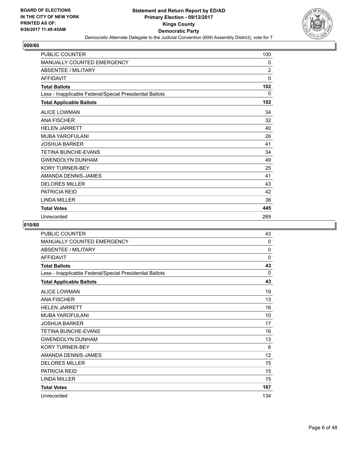

| <b>PUBLIC COUNTER</b>                                    | 100            |
|----------------------------------------------------------|----------------|
| MANUALLY COUNTED EMERGENCY                               | 0              |
| <b>ABSENTEE / MILITARY</b>                               | $\overline{2}$ |
| <b>AFFIDAVIT</b>                                         | 0              |
| <b>Total Ballots</b>                                     | 102            |
| Less - Inapplicable Federal/Special Presidential Ballots | 0              |
| <b>Total Applicable Ballots</b>                          | 102            |
| <b>ALICE LOWMAN</b>                                      | 34             |
| <b>ANA FISCHER</b>                                       | 32             |
| <b>HELEN JARRETT</b>                                     | 40             |
| <b>MUBA YAROFULANI</b>                                   | 26             |
| <b>JOSHUA BARKER</b>                                     | 41             |
| <b>TETINA BUNCHE-EVANS</b>                               | 34             |
| <b>GWENDOLYN DUNHAM</b>                                  | 49             |
| <b>KORY TURNER-BEY</b>                                   | 25             |
| AMANDA DENNIS-JAMES                                      | 41             |
| <b>DELORES MILLER</b>                                    | 43             |
| <b>PATRICIA REID</b>                                     | 42             |
| <b>LINDA MILLER</b>                                      | 38             |
| <b>Total Votes</b>                                       | 445            |
| Unrecorded                                               | 269            |

| PUBLIC COUNTER                                           | 43           |
|----------------------------------------------------------|--------------|
| <b>MANUALLY COUNTED EMERGENCY</b>                        | $\mathbf{0}$ |
| <b>ABSENTEE / MILITARY</b>                               | $\Omega$     |
| <b>AFFIDAVIT</b>                                         | $\Omega$     |
| <b>Total Ballots</b>                                     | 43           |
| Less - Inapplicable Federal/Special Presidential Ballots | 0            |
| <b>Total Applicable Ballots</b>                          | 43           |
| <b>ALICE LOWMAN</b>                                      | 19           |
| <b>ANA FISCHER</b>                                       | 13           |
| <b>HELEN JARRETT</b>                                     | 16           |
| MUBA YAROFULANI                                          | 10           |
| JOSHUA BARKER                                            | 17           |
| <b>TETINA BUNCHE-EVANS</b>                               | 16           |
| <b>GWENDOLYN DUNHAM</b>                                  | 13           |
| <b>KORY TURNER-BEY</b>                                   | 6            |
| AMANDA DENNIS-JAMES                                      | 12           |
| <b>DELORES MILLER</b>                                    | 15           |
| <b>PATRICIA REID</b>                                     | 15           |
| <b>LINDA MILLER</b>                                      | 15           |
| <b>Total Votes</b>                                       | 167          |
| Unrecorded                                               | 134          |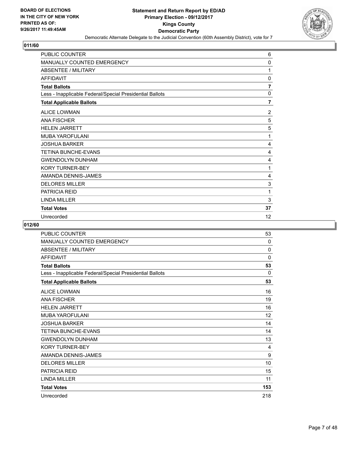

| PUBLIC COUNTER                                           | 6              |
|----------------------------------------------------------|----------------|
| <b>MANUALLY COUNTED EMERGENCY</b>                        | $\mathbf{0}$   |
| <b>ABSENTEE / MILITARY</b>                               | 1              |
| <b>AFFIDAVIT</b>                                         | 0              |
| <b>Total Ballots</b>                                     | 7              |
| Less - Inapplicable Federal/Special Presidential Ballots | 0              |
| <b>Total Applicable Ballots</b>                          | 7              |
| <b>ALICE LOWMAN</b>                                      | $\overline{2}$ |
| <b>ANA FISCHER</b>                                       | 5              |
| <b>HELEN JARRETT</b>                                     | 5              |
| <b>MUBA YAROFULANI</b>                                   | 1              |
| <b>JOSHUA BARKER</b>                                     | 4              |
| TETINA BUNCHE-EVANS                                      | 4              |
| <b>GWENDOLYN DUNHAM</b>                                  | 4              |
| <b>KORY TURNER-BEY</b>                                   | 1              |
| AMANDA DENNIS-JAMES                                      | 4              |
| <b>DELORES MILLER</b>                                    | 3              |
| <b>PATRICIA REID</b>                                     | 1              |
| <b>LINDA MILLER</b>                                      | 3              |
| <b>Total Votes</b>                                       | 37             |
| Unrecorded                                               | 12             |

| <b>PUBLIC COUNTER</b>                                    | 53       |
|----------------------------------------------------------|----------|
| <b>MANUALLY COUNTED EMERGENCY</b>                        | 0        |
| <b>ABSENTEE / MILITARY</b>                               | 0        |
| <b>AFFIDAVIT</b>                                         | 0        |
| <b>Total Ballots</b>                                     | 53       |
| Less - Inapplicable Federal/Special Presidential Ballots | $\Omega$ |
| <b>Total Applicable Ballots</b>                          | 53       |
| <b>ALICE LOWMAN</b>                                      | 16       |
| <b>ANA FISCHER</b>                                       | 19       |
| <b>HELEN JARRETT</b>                                     | 16       |
| MUBA YAROFULANI                                          | 12       |
| <b>JOSHUA BARKER</b>                                     | 14       |
| <b>TETINA BUNCHE-EVANS</b>                               | 14       |
| <b>GWENDOLYN DUNHAM</b>                                  | 13       |
| <b>KORY TURNER-BEY</b>                                   | 4        |
| AMANDA DENNIS-JAMES                                      | 9        |
| <b>DELORES MILLER</b>                                    | 10       |
| <b>PATRICIA REID</b>                                     | 15       |
| <b>LINDA MILLER</b>                                      | 11       |
| <b>Total Votes</b>                                       | 153      |
| Unrecorded                                               | 218      |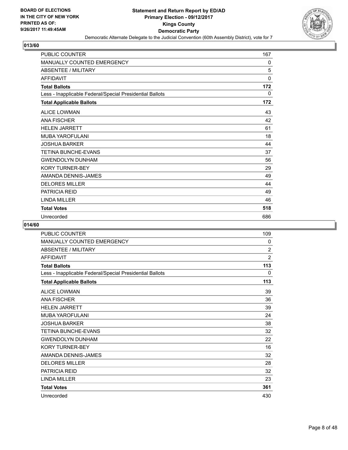

| <b>PUBLIC COUNTER</b>                                    | 167 |
|----------------------------------------------------------|-----|
| MANUALLY COUNTED EMERGENCY                               | 0   |
| <b>ABSENTEE / MILITARY</b>                               | 5   |
| <b>AFFIDAVIT</b>                                         | 0   |
| <b>Total Ballots</b>                                     | 172 |
| Less - Inapplicable Federal/Special Presidential Ballots | 0   |
| <b>Total Applicable Ballots</b>                          | 172 |
| <b>ALICE LOWMAN</b>                                      | 43  |
| <b>ANA FISCHER</b>                                       | 42  |
| <b>HELEN JARRETT</b>                                     | 61  |
| <b>MUBA YAROFULANI</b>                                   | 18  |
| <b>JOSHUA BARKER</b>                                     | 44  |
| <b>TETINA BUNCHE-EVANS</b>                               | 37  |
| <b>GWENDOLYN DUNHAM</b>                                  | 56  |
| <b>KORY TURNER-BEY</b>                                   | 29  |
| AMANDA DENNIS-JAMES                                      | 49  |
| <b>DELORES MILLER</b>                                    | 44  |
| <b>PATRICIA REID</b>                                     | 49  |
| <b>LINDA MILLER</b>                                      | 46  |
| <b>Total Votes</b>                                       | 518 |
| Unrecorded                                               | 686 |

| PUBLIC COUNTER                                           | 109            |
|----------------------------------------------------------|----------------|
| <b>MANUALLY COUNTED EMERGENCY</b>                        | 0              |
| <b>ABSENTEE / MILITARY</b>                               | $\overline{2}$ |
| <b>AFFIDAVIT</b>                                         | $\overline{2}$ |
| <b>Total Ballots</b>                                     | 113            |
| Less - Inapplicable Federal/Special Presidential Ballots | 0              |
| <b>Total Applicable Ballots</b>                          | 113            |
| <b>ALICE LOWMAN</b>                                      | 39             |
| <b>ANA FISCHER</b>                                       | 36             |
| <b>HELEN JARRETT</b>                                     | 39             |
| MUBA YAROFULANI                                          | 24             |
| JOSHUA BARKER                                            | 38             |
| <b>TETINA BUNCHE-EVANS</b>                               | 32             |
| <b>GWENDOLYN DUNHAM</b>                                  | 22             |
| <b>KORY TURNER-BEY</b>                                   | 16             |
| AMANDA DENNIS-JAMES                                      | 32             |
| <b>DELORES MILLER</b>                                    | 28             |
| <b>PATRICIA REID</b>                                     | 32             |
| <b>LINDA MILLER</b>                                      | 23             |
| <b>Total Votes</b>                                       | 361            |
| Unrecorded                                               | 430            |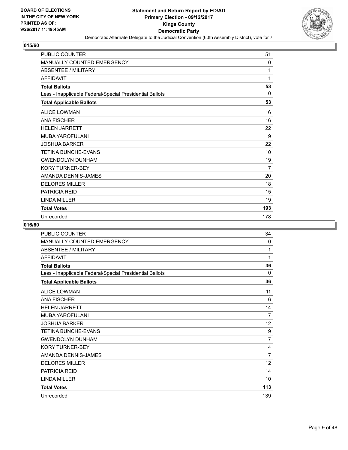

| <b>PUBLIC COUNTER</b>                                    | 51             |
|----------------------------------------------------------|----------------|
| MANUALLY COUNTED EMERGENCY                               | 0              |
| <b>ABSENTEE / MILITARY</b>                               | 1              |
| <b>AFFIDAVIT</b>                                         | 1              |
| <b>Total Ballots</b>                                     | 53             |
| Less - Inapplicable Federal/Special Presidential Ballots | 0              |
| <b>Total Applicable Ballots</b>                          | 53             |
| <b>ALICE LOWMAN</b>                                      | 16             |
| <b>ANA FISCHER</b>                                       | 16             |
| <b>HELEN JARRETT</b>                                     | 22             |
| <b>MUBA YAROFULANI</b>                                   | 9              |
| <b>JOSHUA BARKER</b>                                     | 22             |
| <b>TETINA BUNCHE-EVANS</b>                               | 10             |
| <b>GWENDOLYN DUNHAM</b>                                  | 19             |
| <b>KORY TURNER-BEY</b>                                   | $\overline{7}$ |
| AMANDA DENNIS-JAMES                                      | 20             |
| <b>DELORES MILLER</b>                                    | 18             |
| <b>PATRICIA REID</b>                                     | 15             |
| <b>LINDA MILLER</b>                                      | 19             |
| <b>Total Votes</b>                                       | 193            |
| Unrecorded                                               | 178            |

| PUBLIC COUNTER                                           | 34             |
|----------------------------------------------------------|----------------|
| <b>MANUALLY COUNTED EMERGENCY</b>                        | 0              |
| <b>ABSENTEE / MILITARY</b>                               | 1              |
| <b>AFFIDAVIT</b>                                         | 1              |
| <b>Total Ballots</b>                                     | 36             |
| Less - Inapplicable Federal/Special Presidential Ballots | 0              |
| <b>Total Applicable Ballots</b>                          | 36             |
| <b>ALICE LOWMAN</b>                                      | 11             |
| <b>ANA FISCHER</b>                                       | 6              |
| <b>HELEN JARRETT</b>                                     | 14             |
| MUBA YAROFULANI                                          | 7              |
| <b>JOSHUA BARKER</b>                                     | 12             |
| <b>TETINA BUNCHE-EVANS</b>                               | 9              |
| <b>GWENDOLYN DUNHAM</b>                                  | $\overline{7}$ |
| <b>KORY TURNER-BEY</b>                                   | 4              |
| AMANDA DENNIS-JAMES                                      | $\overline{7}$ |
| <b>DELORES MILLER</b>                                    | 12             |
| PATRICIA REID                                            | 14             |
| <b>LINDA MILLER</b>                                      | 10             |
| <b>Total Votes</b>                                       | 113            |
| Unrecorded                                               | 139            |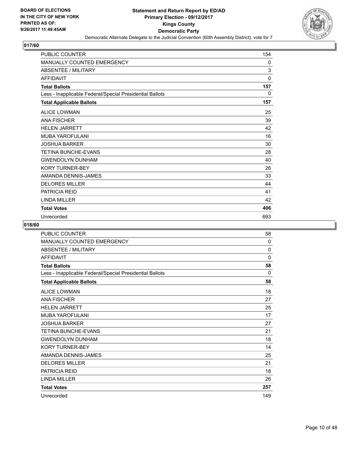

| <b>PUBLIC COUNTER</b>                                    | 154 |
|----------------------------------------------------------|-----|
| MANUALLY COUNTED EMERGENCY                               | 0   |
| <b>ABSENTEE / MILITARY</b>                               | 3   |
| <b>AFFIDAVIT</b>                                         | 0   |
| <b>Total Ballots</b>                                     | 157 |
| Less - Inapplicable Federal/Special Presidential Ballots | 0   |
| <b>Total Applicable Ballots</b>                          | 157 |
| <b>ALICE LOWMAN</b>                                      | 25  |
| <b>ANA FISCHER</b>                                       | 39  |
| <b>HELEN JARRETT</b>                                     | 42  |
| <b>MUBA YAROFULANI</b>                                   | 16  |
| <b>JOSHUA BARKER</b>                                     | 30  |
| <b>TETINA BUNCHE-EVANS</b>                               | 28  |
| <b>GWENDOLYN DUNHAM</b>                                  | 40  |
| <b>KORY TURNER-BEY</b>                                   | 26  |
| AMANDA DENNIS-JAMES                                      | 33  |
| <b>DELORES MILLER</b>                                    | 44  |
| <b>PATRICIA REID</b>                                     | 41  |
| <b>LINDA MILLER</b>                                      | 42  |
| <b>Total Votes</b>                                       | 406 |
| Unrecorded                                               | 693 |

| <b>PUBLIC COUNTER</b>                                    | 58  |
|----------------------------------------------------------|-----|
| MANUALLY COUNTED EMERGENCY                               | 0   |
| <b>ABSENTEE / MILITARY</b>                               | 0   |
| <b>AFFIDAVIT</b>                                         | 0   |
| <b>Total Ballots</b>                                     | 58  |
| Less - Inapplicable Federal/Special Presidential Ballots | 0   |
| <b>Total Applicable Ballots</b>                          | 58  |
| <b>ALICE LOWMAN</b>                                      | 18  |
| <b>ANA FISCHER</b>                                       | 27  |
| <b>HELEN JARRETT</b>                                     | 25  |
| MUBA YAROFULANI                                          | 17  |
| JOSHUA BARKER                                            | 27  |
| <b>TETINA BUNCHE-EVANS</b>                               | 21  |
| <b>GWENDOLYN DUNHAM</b>                                  | 18  |
| <b>KORY TURNER-BEY</b>                                   | 14  |
| AMANDA DENNIS-JAMES                                      | 25  |
| <b>DELORES MILLER</b>                                    | 21  |
| <b>PATRICIA REID</b>                                     | 18  |
| <b>LINDA MILLER</b>                                      | 26  |
| <b>Total Votes</b>                                       | 257 |
| Unrecorded                                               | 149 |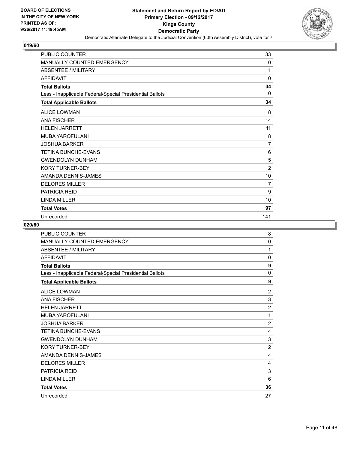

| <b>PUBLIC COUNTER</b>                                    | 33             |
|----------------------------------------------------------|----------------|
| MANUALLY COUNTED EMERGENCY                               | 0              |
| <b>ABSENTEE / MILITARY</b>                               | 1              |
| <b>AFFIDAVIT</b>                                         | 0              |
| <b>Total Ballots</b>                                     | 34             |
| Less - Inapplicable Federal/Special Presidential Ballots | 0              |
| <b>Total Applicable Ballots</b>                          | 34             |
| <b>ALICE LOWMAN</b>                                      | 8              |
| <b>ANA FISCHER</b>                                       | 14             |
| <b>HELEN JARRETT</b>                                     | 11             |
| <b>MUBA YAROFULANI</b>                                   | 8              |
| <b>JOSHUA BARKER</b>                                     | 7              |
| <b>TETINA BUNCHE-EVANS</b>                               | 6              |
| <b>GWENDOLYN DUNHAM</b>                                  | 5              |
| <b>KORY TURNER-BEY</b>                                   | $\overline{2}$ |
| AMANDA DENNIS-JAMES                                      | 10             |
| <b>DELORES MILLER</b>                                    | $\overline{7}$ |
| <b>PATRICIA REID</b>                                     | 9              |
| <b>LINDA MILLER</b>                                      | 10             |
| <b>Total Votes</b>                                       | 97             |
| Unrecorded                                               | 141            |

| PUBLIC COUNTER                                           | 8              |
|----------------------------------------------------------|----------------|
| <b>MANUALLY COUNTED EMERGENCY</b>                        | 0              |
| <b>ABSENTEE / MILITARY</b>                               | 1              |
| <b>AFFIDAVIT</b>                                         | 0              |
| <b>Total Ballots</b>                                     | 9              |
| Less - Inapplicable Federal/Special Presidential Ballots | $\Omega$       |
| <b>Total Applicable Ballots</b>                          | 9              |
| <b>ALICE LOWMAN</b>                                      | 2              |
| <b>ANA FISCHER</b>                                       | 3              |
| <b>HELEN JARRETT</b>                                     | $\overline{2}$ |
| MUBA YAROFULANI                                          | 1              |
| <b>JOSHUA BARKER</b>                                     | $\overline{2}$ |
| <b>TETINA BUNCHE-EVANS</b>                               | 4              |
| <b>GWENDOLYN DUNHAM</b>                                  | 3              |
| <b>KORY TURNER-BEY</b>                                   | $\overline{2}$ |
| AMANDA DENNIS-JAMES                                      | 4              |
| <b>DELORES MILLER</b>                                    | 4              |
| <b>PATRICIA REID</b>                                     | 3              |
| <b>LINDA MILLER</b>                                      | 6              |
| <b>Total Votes</b>                                       | 36             |
| Unrecorded                                               | 27             |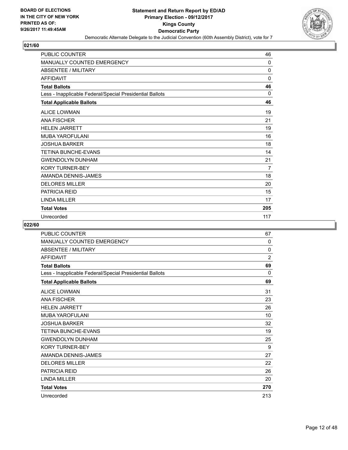

| <b>PUBLIC COUNTER</b>                                    | 46  |
|----------------------------------------------------------|-----|
| MANUALLY COUNTED EMERGENCY                               | 0   |
| <b>ABSENTEE / MILITARY</b>                               | 0   |
| <b>AFFIDAVIT</b>                                         | 0   |
| <b>Total Ballots</b>                                     | 46  |
| Less - Inapplicable Federal/Special Presidential Ballots | 0   |
| <b>Total Applicable Ballots</b>                          | 46  |
| <b>ALICE LOWMAN</b>                                      | 19  |
| <b>ANA FISCHER</b>                                       | 21  |
| <b>HELEN JARRETT</b>                                     | 19  |
| <b>MUBA YAROFULANI</b>                                   | 16  |
| <b>JOSHUA BARKER</b>                                     | 18  |
| <b>TETINA BUNCHE-EVANS</b>                               | 14  |
| <b>GWENDOLYN DUNHAM</b>                                  | 21  |
| <b>KORY TURNER-BEY</b>                                   | 7   |
| AMANDA DENNIS-JAMES                                      | 18  |
| <b>DELORES MILLER</b>                                    | 20  |
| <b>PATRICIA REID</b>                                     | 15  |
| <b>LINDA MILLER</b>                                      | 17  |
| <b>Total Votes</b>                                       | 205 |
| Unrecorded                                               | 117 |

| PUBLIC COUNTER                                           | 67             |
|----------------------------------------------------------|----------------|
| MANUALLY COUNTED EMERGENCY                               | 0              |
| ABSENTEE / MILITARY                                      | 0              |
| <b>AFFIDAVIT</b>                                         | $\overline{2}$ |
| <b>Total Ballots</b>                                     | 69             |
| Less - Inapplicable Federal/Special Presidential Ballots | 0              |
| <b>Total Applicable Ballots</b>                          | 69             |
| <b>ALICE LOWMAN</b>                                      | 31             |
| <b>ANA FISCHER</b>                                       | 23             |
| <b>HELEN JARRETT</b>                                     | 26             |
| MUBA YAROFULANI                                          | 10             |
| JOSHUA BARKER                                            | 32             |
| <b>TETINA BUNCHE-EVANS</b>                               | 19             |
| <b>GWENDOLYN DUNHAM</b>                                  | 25             |
| <b>KORY TURNER-BEY</b>                                   | 9              |
| AMANDA DENNIS-JAMES                                      | 27             |
| <b>DELORES MILLER</b>                                    | 22             |
| <b>PATRICIA REID</b>                                     | 26             |
| <b>LINDA MILLER</b>                                      | 20             |
| <b>Total Votes</b>                                       | 270            |
| Unrecorded                                               | 213            |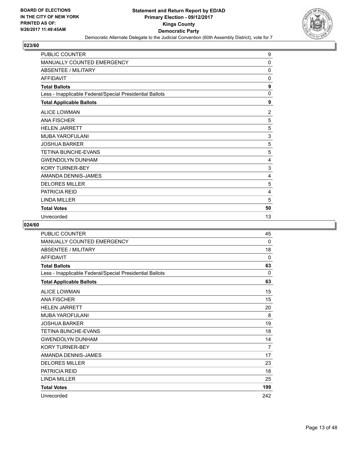

| PUBLIC COUNTER                                           | 9              |
|----------------------------------------------------------|----------------|
| MANUALLY COUNTED EMERGENCY                               | $\Omega$       |
| <b>ABSENTEE / MILITARY</b>                               | $\mathbf{0}$   |
| <b>AFFIDAVIT</b>                                         | 0              |
| <b>Total Ballots</b>                                     | 9              |
| Less - Inapplicable Federal/Special Presidential Ballots | $\mathbf{0}$   |
| <b>Total Applicable Ballots</b>                          | 9              |
| <b>ALICE LOWMAN</b>                                      | $\overline{2}$ |
| <b>ANA FISCHER</b>                                       | 5              |
| <b>HELEN JARRETT</b>                                     | 5              |
| <b>MUBA YAROFULANI</b>                                   | 3              |
| <b>JOSHUA BARKER</b>                                     | 5              |
| <b>TETINA BUNCHE-EVANS</b>                               | 5              |
| <b>GWENDOLYN DUNHAM</b>                                  | 4              |
| <b>KORY TURNER-BEY</b>                                   | 3              |
| AMANDA DENNIS-JAMES                                      | 4              |
| <b>DELORES MILLER</b>                                    | 5              |
| <b>PATRICIA REID</b>                                     | 4              |
| <b>LINDA MILLER</b>                                      | 5              |
| <b>Total Votes</b>                                       | 50             |
| Unrecorded                                               | 13             |

| PUBLIC COUNTER                                           | 45  |
|----------------------------------------------------------|-----|
| <b>MANUALLY COUNTED EMERGENCY</b>                        | 0   |
| <b>ABSENTEE / MILITARY</b>                               | 18  |
| <b>AFFIDAVIT</b>                                         | 0   |
| <b>Total Ballots</b>                                     | 63  |
| Less - Inapplicable Federal/Special Presidential Ballots | 0   |
| <b>Total Applicable Ballots</b>                          | 63  |
| <b>ALICE LOWMAN</b>                                      | 15  |
| <b>ANA FISCHER</b>                                       | 15  |
| <b>HELEN JARRETT</b>                                     | 20  |
| <b>MUBA YAROFULANI</b>                                   | 8   |
| <b>JOSHUA BARKER</b>                                     | 19  |
| <b>TETINA BUNCHE-EVANS</b>                               | 18  |
| <b>GWENDOLYN DUNHAM</b>                                  | 14  |
| <b>KORY TURNER-BEY</b>                                   | 7   |
| AMANDA DENNIS-JAMES                                      | 17  |
| <b>DELORES MILLER</b>                                    | 23  |
| <b>PATRICIA REID</b>                                     | 18  |
| <b>LINDA MILLER</b>                                      | 25  |
| <b>Total Votes</b>                                       | 199 |
| Unrecorded                                               | 242 |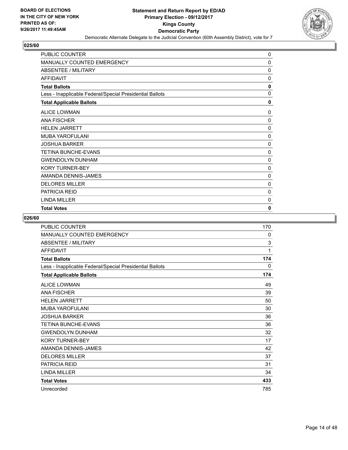

| PUBLIC COUNTER                                           | 0            |
|----------------------------------------------------------|--------------|
| MANUALLY COUNTED EMERGENCY                               | 0            |
| ABSENTEE / MILITARY                                      | 0            |
| <b>AFFIDAVIT</b>                                         | 0            |
| <b>Total Ballots</b>                                     | 0            |
| Less - Inapplicable Federal/Special Presidential Ballots | 0            |
| <b>Total Applicable Ballots</b>                          | $\mathbf{0}$ |
| <b>ALICE LOWMAN</b>                                      | $\Omega$     |
| <b>ANA FISCHER</b>                                       | 0            |
| <b>HELEN JARRETT</b>                                     | 0            |
| <b>MUBA YAROFULANI</b>                                   | 0            |
| <b>JOSHUA BARKER</b>                                     | 0            |
| <b>TETINA BUNCHE-EVANS</b>                               | 0            |
| <b>GWENDOLYN DUNHAM</b>                                  | 0            |
| <b>KORY TURNER-BEY</b>                                   | 0            |
| AMANDA DENNIS-JAMES                                      | 0            |
| <b>DELORES MILLER</b>                                    | 0            |
| <b>PATRICIA REID</b>                                     | 0            |
| <b>LINDA MILLER</b>                                      | 0            |
| <b>Total Votes</b>                                       | $\bf{0}$     |

| <b>PUBLIC COUNTER</b>                                    | 170          |
|----------------------------------------------------------|--------------|
| MANUALLY COUNTED EMERGENCY                               | 0            |
| <b>ABSENTEE / MILITARY</b>                               | 3            |
| <b>AFFIDAVIT</b>                                         | 1            |
| <b>Total Ballots</b>                                     | 174          |
| Less - Inapplicable Federal/Special Presidential Ballots | $\mathbf{0}$ |
| <b>Total Applicable Ballots</b>                          | 174          |
| <b>ALICE LOWMAN</b>                                      | 49           |
| <b>ANA FISCHER</b>                                       | 39           |
| <b>HFI FN JARRETT</b>                                    | 50           |
| <b>MUBA YAROFULANI</b>                                   | 30           |
| <b>JOSHUA BARKER</b>                                     | 36           |
| <b>TETINA BUNCHE-EVANS</b>                               | 36           |
| <b>GWENDOLYN DUNHAM</b>                                  | 32           |
| <b>KORY TURNER-BEY</b>                                   | 17           |
| AMANDA DENNIS-JAMES                                      | 42           |
| <b>DELORES MILLER</b>                                    | 37           |
| <b>PATRICIA REID</b>                                     | 31           |
| <b>LINDA MILLER</b>                                      | 34           |
| <b>Total Votes</b>                                       | 433          |
| Unrecorded                                               | 785          |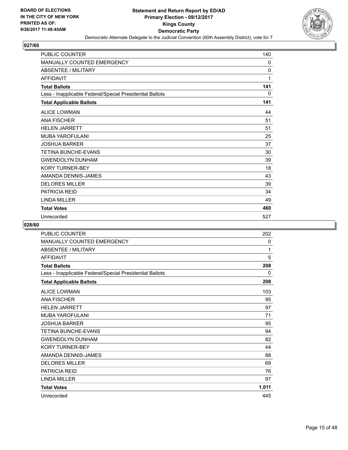

| <b>PUBLIC COUNTER</b>                                    | 140          |
|----------------------------------------------------------|--------------|
| MANUALLY COUNTED EMERGENCY                               | 0            |
| <b>ABSENTEE / MILITARY</b>                               | $\mathbf{0}$ |
| <b>AFFIDAVIT</b>                                         | 1            |
| <b>Total Ballots</b>                                     | 141          |
| Less - Inapplicable Federal/Special Presidential Ballots | 0            |
| <b>Total Applicable Ballots</b>                          | 141          |
| <b>ALICE LOWMAN</b>                                      | 44           |
| <b>ANA FISCHER</b>                                       | 51           |
| <b>HELEN JARRETT</b>                                     | 51           |
| <b>MUBA YAROFULANI</b>                                   | 25           |
| <b>JOSHUA BARKER</b>                                     | 37           |
| <b>TETINA BUNCHE-EVANS</b>                               | 30           |
| <b>GWENDOLYN DUNHAM</b>                                  | 39           |
| <b>KORY TURNER-BEY</b>                                   | 18           |
| AMANDA DENNIS-JAMES                                      | 43           |
| <b>DELORES MILLER</b>                                    | 39           |
| <b>PATRICIA REID</b>                                     | 34           |
| <b>LINDA MILLER</b>                                      | 49           |
| <b>Total Votes</b>                                       | 460          |
| Unrecorded                                               | 527          |

| PUBLIC COUNTER                                           | 202   |
|----------------------------------------------------------|-------|
| MANUALLY COUNTED EMERGENCY                               | 0     |
| <b>ABSENTEE / MILITARY</b>                               | 1     |
| <b>AFFIDAVIT</b>                                         | 5     |
| <b>Total Ballots</b>                                     | 208   |
| Less - Inapplicable Federal/Special Presidential Ballots | 0     |
| <b>Total Applicable Ballots</b>                          | 208   |
| <b>ALICE LOWMAN</b>                                      | 103   |
| <b>ANA FISCHER</b>                                       | 95    |
| <b>HELEN JARRETT</b>                                     | 97    |
| MUBA YAROFULANI                                          | 71    |
| <b>JOSHUA BARKER</b>                                     | 95    |
| <b>TETINA BUNCHE-EVANS</b>                               | 94    |
| <b>GWENDOLYN DUNHAM</b>                                  | 82    |
| <b>KORY TURNER-BEY</b>                                   | 44    |
| AMANDA DENNIS-JAMES                                      | 88    |
| <b>DELORES MILLER</b>                                    | 69    |
| <b>PATRICIA REID</b>                                     | 76    |
| <b>LINDA MILLER</b>                                      | 97    |
| <b>Total Votes</b>                                       | 1,011 |
| Unrecorded                                               | 445   |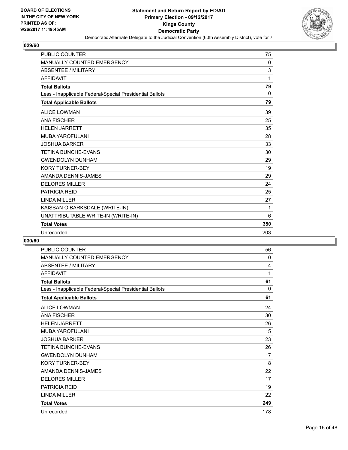

| <b>PUBLIC COUNTER</b>                                    | 75           |
|----------------------------------------------------------|--------------|
| MANUALLY COUNTED EMERGENCY                               | 0            |
| <b>ABSENTEE / MILITARY</b>                               | 3            |
| <b>AFFIDAVIT</b>                                         | 1            |
| <b>Total Ballots</b>                                     | 79           |
| Less - Inapplicable Federal/Special Presidential Ballots | $\mathbf{0}$ |
| <b>Total Applicable Ballots</b>                          | 79           |
| <b>ALICE LOWMAN</b>                                      | 39           |
| <b>ANA FISCHER</b>                                       | 25           |
| <b>HELEN JARRETT</b>                                     | 35           |
| <b>MUBA YAROFULANI</b>                                   | 28           |
| <b>JOSHUA BARKER</b>                                     | 33           |
| TETINA BUNCHE-EVANS                                      | 30           |
| <b>GWENDOLYN DUNHAM</b>                                  | 29           |
| <b>KORY TURNER-BEY</b>                                   | 19           |
| AMANDA DENNIS-JAMES                                      | 29           |
| <b>DELORES MILLER</b>                                    | 24           |
| <b>PATRICIA REID</b>                                     | 25           |
| <b>LINDA MILLER</b>                                      | 27           |
| KAISSAN O BARKSDALE (WRITE-IN)                           | 1            |
| UNATTRIBUTABLE WRITE-IN (WRITE-IN)                       | 6            |
| <b>Total Votes</b>                                       | 350          |
| Unrecorded                                               | 203          |

| <b>PUBLIC COUNTER</b>                                    | 56           |
|----------------------------------------------------------|--------------|
| MANUALLY COUNTED EMERGENCY                               | $\mathbf{0}$ |
| ABSENTEE / MILITARY                                      | 4            |
| <b>AFFIDAVIT</b>                                         | 1            |
| <b>Total Ballots</b>                                     | 61           |
| Less - Inapplicable Federal/Special Presidential Ballots | $\Omega$     |
| <b>Total Applicable Ballots</b>                          | 61           |
| <b>ALICE LOWMAN</b>                                      | 24           |
| <b>ANA FISCHER</b>                                       | 30           |
| <b>HELEN JARRETT</b>                                     | 26           |
| MUBA YAROFULANI                                          | 15           |
| <b>JOSHUA BARKER</b>                                     | 23           |
| <b>TETINA BUNCHE-EVANS</b>                               | 26           |
| <b>GWENDOLYN DUNHAM</b>                                  | 17           |
| <b>KORY TURNER-BEY</b>                                   | 8            |
| AMANDA DENNIS-JAMES                                      | 22           |
| <b>DELORES MILLER</b>                                    | 17           |
| <b>PATRICIA REID</b>                                     | 19           |
| <b>LINDA MILLER</b>                                      | 22           |
| <b>Total Votes</b>                                       | 249          |
| Unrecorded                                               | 178          |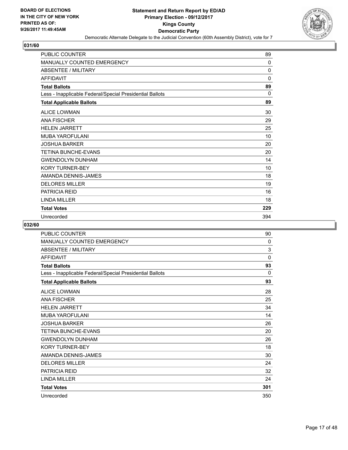

| <b>PUBLIC COUNTER</b>                                    | 89           |
|----------------------------------------------------------|--------------|
| MANUALLY COUNTED EMERGENCY                               | 0            |
| <b>ABSENTEE / MILITARY</b>                               | $\mathbf{0}$ |
| <b>AFFIDAVIT</b>                                         | $\mathbf{0}$ |
| <b>Total Ballots</b>                                     | 89           |
| Less - Inapplicable Federal/Special Presidential Ballots | $\Omega$     |
| <b>Total Applicable Ballots</b>                          | 89           |
| <b>ALICE LOWMAN</b>                                      | 30           |
| <b>ANA FISCHER</b>                                       | 29           |
| <b>HELEN JARRETT</b>                                     | 25           |
| <b>MUBA YAROFULANI</b>                                   | 10           |
| <b>JOSHUA BARKER</b>                                     | 20           |
| <b>TETINA BUNCHE-EVANS</b>                               | 20           |
| <b>GWENDOLYN DUNHAM</b>                                  | 14           |
| <b>KORY TURNER-BEY</b>                                   | 10           |
| AMANDA DENNIS-JAMES                                      | 18           |
| <b>DELORES MILLER</b>                                    | 19           |
| <b>PATRICIA REID</b>                                     | 16           |
| LINDA MILLER                                             | 18           |
| <b>Total Votes</b>                                       | 229          |
| Unrecorded                                               | 394          |

| <b>PUBLIC COUNTER</b>                                    | 90  |
|----------------------------------------------------------|-----|
| <b>MANUALLY COUNTED EMERGENCY</b>                        | 0   |
| <b>ABSENTEE / MILITARY</b>                               | 3   |
| <b>AFFIDAVIT</b>                                         | 0   |
| <b>Total Ballots</b>                                     | 93  |
| Less - Inapplicable Federal/Special Presidential Ballots | 0   |
| <b>Total Applicable Ballots</b>                          | 93  |
| <b>ALICE LOWMAN</b>                                      | 28  |
| <b>ANA FISCHER</b>                                       | 25  |
| <b>HELEN JARRETT</b>                                     | 34  |
| MUBA YAROFULANI                                          | 14  |
| JOSHUA BARKER                                            | 26  |
| <b>TETINA BUNCHE-EVANS</b>                               | 20  |
| <b>GWENDOLYN DUNHAM</b>                                  | 26  |
| <b>KORY TURNER-BEY</b>                                   | 18  |
| AMANDA DENNIS-JAMES                                      | 30  |
| <b>DELORES MILLER</b>                                    | 24  |
| <b>PATRICIA REID</b>                                     | 32  |
| <b>LINDA MILLER</b>                                      | 24  |
| <b>Total Votes</b>                                       | 301 |
| Unrecorded                                               | 350 |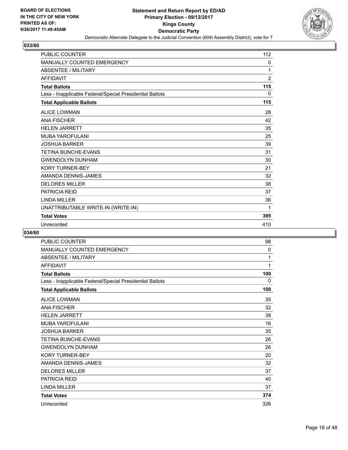

| <b>PUBLIC COUNTER</b>                                    | 112            |
|----------------------------------------------------------|----------------|
| MANUALLY COUNTED EMERGENCY                               | 0              |
| <b>ABSENTEE / MILITARY</b>                               | 1              |
| <b>AFFIDAVIT</b>                                         | $\overline{2}$ |
| <b>Total Ballots</b>                                     | 115            |
| Less - Inapplicable Federal/Special Presidential Ballots | $\mathbf{0}$   |
| <b>Total Applicable Ballots</b>                          | 115            |
| <b>ALICE LOWMAN</b>                                      | 28             |
| <b>ANA FISCHER</b>                                       | 42             |
| <b>HELEN JARRETT</b>                                     | 35             |
| <b>MUBA YAROFULANI</b>                                   | 25             |
| <b>JOSHUA BARKER</b>                                     | 39             |
| <b>TETINA BUNCHE-EVANS</b>                               | 31             |
| <b>GWENDOLYN DUNHAM</b>                                  | 30             |
| <b>KORY TURNER-BEY</b>                                   | 21             |
| AMANDA DENNIS-JAMES                                      | 32             |
| <b>DELORES MILLER</b>                                    | 38             |
| <b>PATRICIA REID</b>                                     | 37             |
| <b>LINDA MILLER</b>                                      | 36             |
| UNATTRIBUTABLE WRITE-IN (WRITE-IN)                       | 1              |
| <b>Total Votes</b>                                       | 395            |
| Unrecorded                                               | 410            |

| <b>PUBLIC COUNTER</b>                                    | 98  |
|----------------------------------------------------------|-----|
| <b>MANUALLY COUNTED EMERGENCY</b>                        | 0   |
| <b>ABSENTEE / MILITARY</b>                               | 1   |
| <b>AFFIDAVIT</b>                                         | 1   |
| <b>Total Ballots</b>                                     | 100 |
| Less - Inapplicable Federal/Special Presidential Ballots | 0   |
| <b>Total Applicable Ballots</b>                          | 100 |
| <b>ALICE LOWMAN</b>                                      | 35  |
| <b>ANA FISCHER</b>                                       | 32  |
| <b>HELEN JARRETT</b>                                     | 38  |
| <b>MUBA YAROFULANI</b>                                   | 16  |
| <b>JOSHUA BARKER</b>                                     | 35  |
| TETINA BUNCHE-EVANS                                      | 26  |
| <b>GWENDOLYN DUNHAM</b>                                  | 26  |
| <b>KORY TURNER-BEY</b>                                   | 20  |
| AMANDA DENNIS-JAMES                                      | 32  |
| <b>DELORES MILLER</b>                                    | 37  |
| <b>PATRICIA REID</b>                                     | 40  |
| <b>LINDA MILLER</b>                                      | 37  |
| <b>Total Votes</b>                                       | 374 |
| Unrecorded                                               | 326 |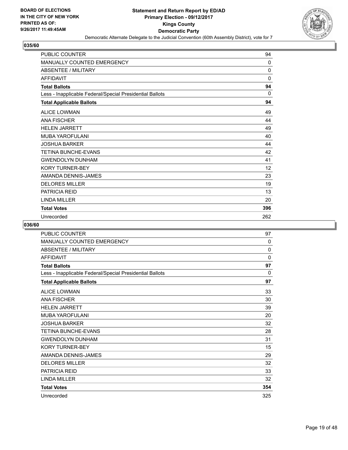

| PUBLIC COUNTER                                           | 94           |
|----------------------------------------------------------|--------------|
| MANUALLY COUNTED EMERGENCY                               | $\Omega$     |
| <b>ABSENTEE / MILITARY</b>                               | $\mathbf{0}$ |
| <b>AFFIDAVIT</b>                                         | 0            |
| <b>Total Ballots</b>                                     | 94           |
| Less - Inapplicable Federal/Special Presidential Ballots | $\Omega$     |
| <b>Total Applicable Ballots</b>                          | 94           |
| <b>ALICE LOWMAN</b>                                      | 49           |
| <b>ANA FISCHER</b>                                       | 44           |
| <b>HELEN JARRETT</b>                                     | 49           |
| MUBA YAROFULANI                                          | 40           |
| <b>JOSHUA BARKER</b>                                     | 44           |
| <b>TETINA BUNCHE-EVANS</b>                               | 42           |
| <b>GWENDOLYN DUNHAM</b>                                  | 41           |
| <b>KORY TURNER-BEY</b>                                   | 12           |
| AMANDA DENNIS-JAMES                                      | 23           |
| <b>DELORES MILLER</b>                                    | 19           |
| <b>PATRICIA REID</b>                                     | 13           |
| <b>LINDA MILLER</b>                                      | 20           |
| <b>Total Votes</b>                                       | 396          |
| Unrecorded                                               | 262          |

| PUBLIC COUNTER                                           | 97  |
|----------------------------------------------------------|-----|
| <b>MANUALLY COUNTED EMERGENCY</b>                        | 0   |
| <b>ABSENTEE / MILITARY</b>                               | 0   |
| <b>AFFIDAVIT</b>                                         | 0   |
| <b>Total Ballots</b>                                     | 97  |
| Less - Inapplicable Federal/Special Presidential Ballots | 0   |
| <b>Total Applicable Ballots</b>                          | 97  |
| <b>ALICE LOWMAN</b>                                      | 33  |
| <b>ANA FISCHER</b>                                       | 30  |
| <b>HELEN JARRETT</b>                                     | 39  |
| <b>MUBA YAROFULANI</b>                                   | 20  |
| <b>JOSHUA BARKER</b>                                     | 32  |
| <b>TETINA BUNCHE-EVANS</b>                               | 28  |
| <b>GWENDOLYN DUNHAM</b>                                  | 31  |
| <b>KORY TURNER-BEY</b>                                   | 15  |
| AMANDA DENNIS-JAMES                                      | 29  |
| <b>DELORES MILLER</b>                                    | 32  |
| <b>PATRICIA REID</b>                                     | 33  |
| <b>LINDA MILLER</b>                                      | 32  |
| <b>Total Votes</b>                                       | 354 |
| Unrecorded                                               | 325 |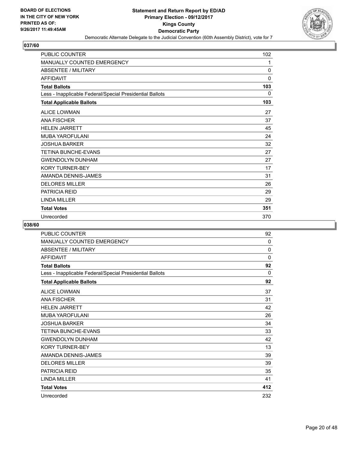

| <b>PUBLIC COUNTER</b>                                    | 102          |
|----------------------------------------------------------|--------------|
| MANUALLY COUNTED EMERGENCY                               | 1            |
| <b>ABSENTEE / MILITARY</b>                               | $\mathbf{0}$ |
| <b>AFFIDAVIT</b>                                         | 0            |
| <b>Total Ballots</b>                                     | 103          |
| Less - Inapplicable Federal/Special Presidential Ballots | 0            |
| <b>Total Applicable Ballots</b>                          | 103          |
| <b>ALICE LOWMAN</b>                                      | 27           |
| <b>ANA FISCHER</b>                                       | 37           |
| <b>HELEN JARRETT</b>                                     | 45           |
| <b>MUBA YAROFULANI</b>                                   | 24           |
| <b>JOSHUA BARKER</b>                                     | 32           |
| <b>TETINA BUNCHE-EVANS</b>                               | 27           |
| <b>GWENDOLYN DUNHAM</b>                                  | 27           |
| <b>KORY TURNER-BEY</b>                                   | 17           |
| AMANDA DENNIS-JAMES                                      | 31           |
| <b>DELORES MILLER</b>                                    | 26           |
| <b>PATRICIA REID</b>                                     | 29           |
| <b>LINDA MILLER</b>                                      | 29           |
| <b>Total Votes</b>                                       | 351          |
| Unrecorded                                               | 370          |

| PUBLIC COUNTER                                           | 92          |
|----------------------------------------------------------|-------------|
| <b>MANUALLY COUNTED EMERGENCY</b>                        | 0           |
| <b>ABSENTEE / MILITARY</b>                               | 0           |
| <b>AFFIDAVIT</b>                                         | $\mathbf 0$ |
| <b>Total Ballots</b>                                     | 92          |
| Less - Inapplicable Federal/Special Presidential Ballots | 0           |
| <b>Total Applicable Ballots</b>                          | 92          |
| <b>ALICE LOWMAN</b>                                      | 37          |
| <b>ANA FISCHER</b>                                       | 31          |
| <b>HELEN JARRETT</b>                                     | 42          |
| MUBA YAROFULANI                                          | 26          |
| <b>JOSHUA BARKER</b>                                     | 34          |
| <b>TETINA BUNCHE-EVANS</b>                               | 33          |
| <b>GWENDOLYN DUNHAM</b>                                  | 42          |
| <b>KORY TURNER-BEY</b>                                   | 13          |
| AMANDA DENNIS-JAMES                                      | 39          |
| <b>DELORES MILLER</b>                                    | 39          |
| <b>PATRICIA REID</b>                                     | 35          |
| <b>LINDA MILLER</b>                                      | 41          |
| <b>Total Votes</b>                                       | 412         |
| Unrecorded                                               | 232         |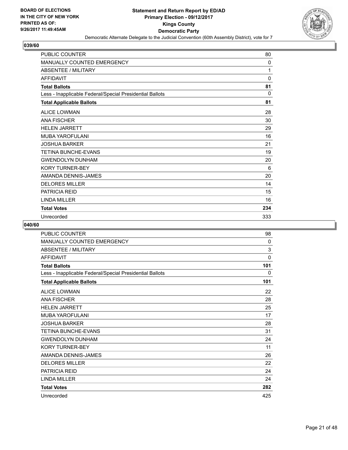

| <b>PUBLIC COUNTER</b>                                    | 80          |
|----------------------------------------------------------|-------------|
| MANUALLY COUNTED EMERGENCY                               | 0           |
| <b>ABSENTEE / MILITARY</b>                               | 1           |
| <b>AFFIDAVIT</b>                                         | $\mathbf 0$ |
| <b>Total Ballots</b>                                     | 81          |
| Less - Inapplicable Federal/Special Presidential Ballots | $\Omega$    |
| <b>Total Applicable Ballots</b>                          | 81          |
| <b>ALICE LOWMAN</b>                                      | 28          |
| <b>ANA FISCHER</b>                                       | 30          |
| <b>HELEN JARRETT</b>                                     | 29          |
| <b>MUBA YAROFULANI</b>                                   | 16          |
| <b>JOSHUA BARKER</b>                                     | 21          |
| <b>TETINA BUNCHE-EVANS</b>                               | 19          |
| <b>GWENDOLYN DUNHAM</b>                                  | 20          |
| <b>KORY TURNER-BEY</b>                                   | 6           |
| AMANDA DENNIS-JAMES                                      | 20          |
| <b>DELORES MILLER</b>                                    | 14          |
| <b>PATRICIA REID</b>                                     | 15          |
| <b>LINDA MILLER</b>                                      | 16          |
| <b>Total Votes</b>                                       | 234         |
| Unrecorded                                               | 333         |

| PUBLIC COUNTER                                           | 98  |
|----------------------------------------------------------|-----|
| <b>MANUALLY COUNTED EMERGENCY</b>                        | 0   |
| <b>ABSENTEE / MILITARY</b>                               | 3   |
| <b>AFFIDAVIT</b>                                         | 0   |
| <b>Total Ballots</b>                                     | 101 |
| Less - Inapplicable Federal/Special Presidential Ballots | 0   |
| <b>Total Applicable Ballots</b>                          | 101 |
| <b>ALICE LOWMAN</b>                                      | 22  |
| <b>ANA FISCHER</b>                                       | 28  |
| <b>HELEN JARRETT</b>                                     | 25  |
| <b>MUBA YAROFULANI</b>                                   | 17  |
| <b>JOSHUA BARKER</b>                                     | 28  |
| <b>TETINA BUNCHE-EVANS</b>                               | 31  |
| <b>GWENDOLYN DUNHAM</b>                                  | 24  |
| <b>KORY TURNER-BEY</b>                                   | 11  |
| AMANDA DENNIS-JAMES                                      | 26  |
| <b>DELORES MILLER</b>                                    | 22  |
| <b>PATRICIA REID</b>                                     | 24  |
| <b>LINDA MILLER</b>                                      | 24  |
| <b>Total Votes</b>                                       | 282 |
| Unrecorded                                               | 425 |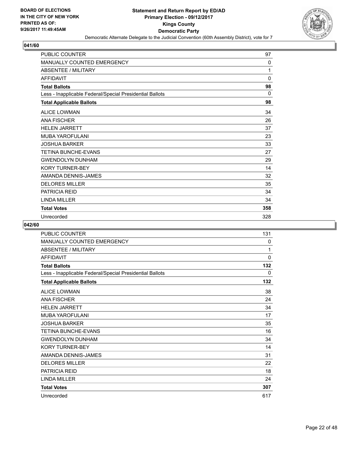

| <b>PUBLIC COUNTER</b>                                    | 97          |
|----------------------------------------------------------|-------------|
| MANUALLY COUNTED EMERGENCY                               | 0           |
| <b>ABSENTEE / MILITARY</b>                               | 1           |
| <b>AFFIDAVIT</b>                                         | $\mathbf 0$ |
| <b>Total Ballots</b>                                     | 98          |
| Less - Inapplicable Federal/Special Presidential Ballots | 0           |
| <b>Total Applicable Ballots</b>                          | 98          |
| <b>ALICE LOWMAN</b>                                      | 34          |
| <b>ANA FISCHER</b>                                       | 26          |
| <b>HELEN JARRETT</b>                                     | 37          |
| <b>MUBA YAROFULANI</b>                                   | 23          |
| <b>JOSHUA BARKER</b>                                     | 33          |
| <b>TETINA BUNCHE-EVANS</b>                               | 27          |
| <b>GWENDOLYN DUNHAM</b>                                  | 29          |
| <b>KORY TURNER-BEY</b>                                   | 14          |
| AMANDA DENNIS-JAMES                                      | 32          |
| <b>DELORES MILLER</b>                                    | 35          |
| <b>PATRICIA REID</b>                                     | 34          |
| <b>LINDA MILLER</b>                                      | 34          |
| <b>Total Votes</b>                                       | 358         |
| Unrecorded                                               | 328         |

| PUBLIC COUNTER                                           | 131 |
|----------------------------------------------------------|-----|
| <b>MANUALLY COUNTED EMERGENCY</b>                        | 0   |
| <b>ABSENTEE / MILITARY</b>                               | 1   |
| <b>AFFIDAVIT</b>                                         | 0   |
| <b>Total Ballots</b>                                     | 132 |
| Less - Inapplicable Federal/Special Presidential Ballots | 0   |
| <b>Total Applicable Ballots</b>                          | 132 |
| <b>ALICE LOWMAN</b>                                      | 38  |
| <b>ANA FISCHER</b>                                       | 24  |
| <b>HELEN JARRETT</b>                                     | 34  |
| MUBA YAROFULANI                                          | 17  |
| JOSHUA BARKER                                            | 35  |
| <b>TETINA BUNCHE-EVANS</b>                               | 16  |
| <b>GWENDOLYN DUNHAM</b>                                  | 34  |
| <b>KORY TURNER-BEY</b>                                   | 14  |
| AMANDA DENNIS-JAMES                                      | 31  |
| <b>DELORES MILLER</b>                                    | 22  |
| <b>PATRICIA REID</b>                                     | 18  |
| <b>LINDA MILLER</b>                                      | 24  |
| <b>Total Votes</b>                                       | 307 |
| Unrecorded                                               | 617 |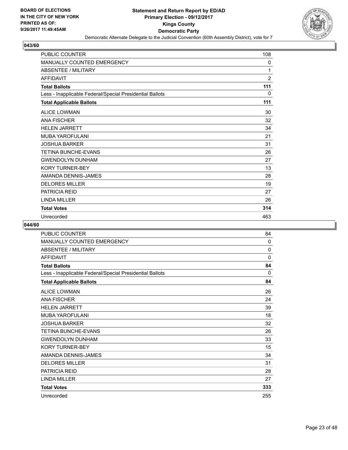

| <b>PUBLIC COUNTER</b>                                    | 108            |
|----------------------------------------------------------|----------------|
| MANUALLY COUNTED EMERGENCY                               | 0              |
| <b>ABSENTEE / MILITARY</b>                               | 1              |
| <b>AFFIDAVIT</b>                                         | $\overline{2}$ |
| <b>Total Ballots</b>                                     | 111            |
| Less - Inapplicable Federal/Special Presidential Ballots | 0              |
| <b>Total Applicable Ballots</b>                          | 111            |
| <b>ALICE LOWMAN</b>                                      | 30             |
| <b>ANA FISCHER</b>                                       | 32             |
| <b>HELEN JARRETT</b>                                     | 34             |
| <b>MUBA YAROFULANI</b>                                   | 21             |
| <b>JOSHUA BARKER</b>                                     | 31             |
| <b>TETINA BUNCHE-EVANS</b>                               | 26             |
| <b>GWENDOLYN DUNHAM</b>                                  | 27             |
| <b>KORY TURNER-BEY</b>                                   | 13             |
| AMANDA DENNIS-JAMES                                      | 28             |
| <b>DELORES MILLER</b>                                    | 19             |
| <b>PATRICIA REID</b>                                     | 27             |
| <b>LINDA MILLER</b>                                      | 26             |
| <b>Total Votes</b>                                       | 314            |
| Unrecorded                                               | 463            |

| PUBLIC COUNTER                                           | 84           |
|----------------------------------------------------------|--------------|
| <b>MANUALLY COUNTED EMERGENCY</b>                        | 0            |
| <b>ABSENTEE / MILITARY</b>                               | 0            |
| <b>AFFIDAVIT</b>                                         | $\mathbf{0}$ |
| <b>Total Ballots</b>                                     | 84           |
| Less - Inapplicable Federal/Special Presidential Ballots | 0            |
| <b>Total Applicable Ballots</b>                          | 84           |
| <b>ALICE LOWMAN</b>                                      | 26           |
| <b>ANA FISCHER</b>                                       | 24           |
| <b>HELEN JARRETT</b>                                     | 39           |
| MUBA YAROFULANI                                          | 18           |
| JOSHUA BARKER                                            | 32           |
| <b>TETINA BUNCHE-EVANS</b>                               | 26           |
| <b>GWENDOLYN DUNHAM</b>                                  | 33           |
| <b>KORY TURNER-BEY</b>                                   | 15           |
| AMANDA DENNIS-JAMES                                      | 34           |
| <b>DELORES MILLER</b>                                    | 31           |
| <b>PATRICIA REID</b>                                     | 28           |
| <b>LINDA MILLER</b>                                      | 27           |
| <b>Total Votes</b>                                       | 333          |
| Unrecorded                                               | 255          |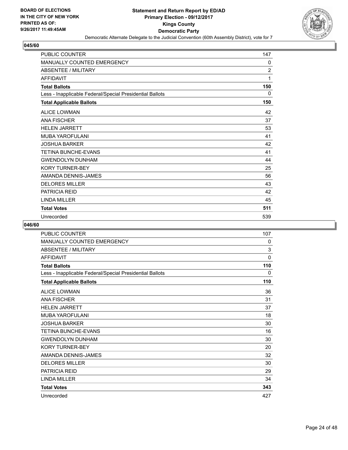

| <b>PUBLIC COUNTER</b>                                    | 147            |
|----------------------------------------------------------|----------------|
| MANUALLY COUNTED EMERGENCY                               | 0              |
| <b>ABSENTEE / MILITARY</b>                               | $\overline{2}$ |
| <b>AFFIDAVIT</b>                                         | 1              |
| <b>Total Ballots</b>                                     | 150            |
| Less - Inapplicable Federal/Special Presidential Ballots | 0              |
| <b>Total Applicable Ballots</b>                          | 150            |
| <b>ALICE LOWMAN</b>                                      | 42             |
| <b>ANA FISCHER</b>                                       | 37             |
| <b>HELEN JARRETT</b>                                     | 53             |
| <b>MUBA YAROFULANI</b>                                   | 41             |
| <b>JOSHUA BARKER</b>                                     | 42             |
| <b>TETINA BUNCHE-EVANS</b>                               | 41             |
| <b>GWENDOLYN DUNHAM</b>                                  | 44             |
| <b>KORY TURNER-BEY</b>                                   | 25             |
| AMANDA DENNIS-JAMES                                      | 56             |
| <b>DELORES MILLER</b>                                    | 43             |
| <b>PATRICIA REID</b>                                     | 42             |
| <b>LINDA MILLER</b>                                      | 45             |
| <b>Total Votes</b>                                       | 511            |
| Unrecorded                                               | 539            |

| PUBLIC COUNTER                                           | 107         |
|----------------------------------------------------------|-------------|
| <b>MANUALLY COUNTED EMERGENCY</b>                        | 0           |
| <b>ABSENTEE / MILITARY</b>                               | $\mathsf 3$ |
| <b>AFFIDAVIT</b>                                         | $\mathbf 0$ |
| <b>Total Ballots</b>                                     | 110         |
| Less - Inapplicable Federal/Special Presidential Ballots | 0           |
| <b>Total Applicable Ballots</b>                          | 110         |
| <b>ALICE LOWMAN</b>                                      | 36          |
| <b>ANA FISCHER</b>                                       | 31          |
| <b>HELEN JARRETT</b>                                     | 37          |
| MUBA YAROFULANI                                          | 18          |
| <b>JOSHUA BARKER</b>                                     | 30          |
| <b>TETINA BUNCHE-EVANS</b>                               | 16          |
| <b>GWENDOLYN DUNHAM</b>                                  | 30          |
| <b>KORY TURNER-BEY</b>                                   | 20          |
| AMANDA DENNIS-JAMES                                      | 32          |
| <b>DELORES MILLER</b>                                    | 30          |
| <b>PATRICIA REID</b>                                     | 29          |
| <b>LINDA MILLER</b>                                      | 34          |
| <b>Total Votes</b>                                       | 343         |
| Unrecorded                                               | 427         |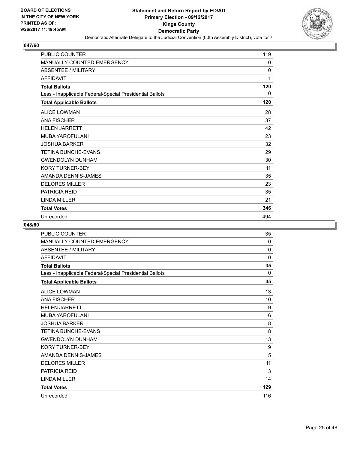

| <b>PUBLIC COUNTER</b>                                    | 119 |
|----------------------------------------------------------|-----|
| MANUALLY COUNTED EMERGENCY                               | 0   |
| <b>ABSENTEE / MILITARY</b>                               | 0   |
| <b>AFFIDAVIT</b>                                         | 1   |
| <b>Total Ballots</b>                                     | 120 |
| Less - Inapplicable Federal/Special Presidential Ballots | 0   |
| <b>Total Applicable Ballots</b>                          | 120 |
| <b>ALICE LOWMAN</b>                                      | 28  |
| <b>ANA FISCHER</b>                                       | 37  |
| <b>HELEN JARRETT</b>                                     | 42  |
| <b>MUBA YAROFULANI</b>                                   | 23  |
| <b>JOSHUA BARKER</b>                                     | 32  |
| <b>TETINA BUNCHE-EVANS</b>                               | 29  |
| <b>GWENDOLYN DUNHAM</b>                                  | 30  |
| <b>KORY TURNER-BEY</b>                                   | 11  |
| AMANDA DENNIS-JAMES                                      | 35  |
| <b>DELORES MILLER</b>                                    | 23  |
| <b>PATRICIA REID</b>                                     | 35  |
| <b>LINDA MILLER</b>                                      | 21  |
| <b>Total Votes</b>                                       | 346 |
| Unrecorded                                               | 494 |

| PUBLIC COUNTER                                           | 35  |
|----------------------------------------------------------|-----|
| <b>MANUALLY COUNTED EMERGENCY</b>                        | 0   |
| <b>ABSENTEE / MILITARY</b>                               | 0   |
| <b>AFFIDAVIT</b>                                         | 0   |
| <b>Total Ballots</b>                                     | 35  |
| Less - Inapplicable Federal/Special Presidential Ballots | 0   |
| <b>Total Applicable Ballots</b>                          | 35  |
| <b>ALICE LOWMAN</b>                                      | 13  |
| <b>ANA FISCHER</b>                                       | 10  |
| <b>HELEN JARRETT</b>                                     | 9   |
| <b>MUBA YAROFULANI</b>                                   | 6   |
| <b>JOSHUA BARKER</b>                                     | 8   |
| TETINA BUNCHE-EVANS                                      | 8   |
| <b>GWENDOLYN DUNHAM</b>                                  | 13  |
| <b>KORY TURNER-BEY</b>                                   | 9   |
| AMANDA DENNIS-JAMES                                      | 15  |
| <b>DELORES MILLER</b>                                    | 11  |
| <b>PATRICIA REID</b>                                     | 13  |
| <b>LINDA MILLER</b>                                      | 14  |
| <b>Total Votes</b>                                       | 129 |
| Unrecorded                                               | 116 |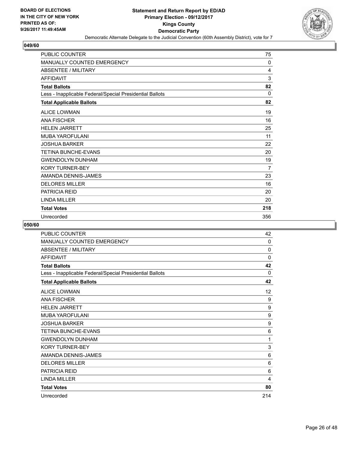

| <b>PUBLIC COUNTER</b>                                    | 75       |
|----------------------------------------------------------|----------|
| MANUALLY COUNTED EMERGENCY                               | 0        |
| <b>ABSENTEE / MILITARY</b>                               | 4        |
| <b>AFFIDAVIT</b>                                         | 3        |
| <b>Total Ballots</b>                                     | 82       |
| Less - Inapplicable Federal/Special Presidential Ballots | $\Omega$ |
| <b>Total Applicable Ballots</b>                          | 82       |
| <b>ALICE LOWMAN</b>                                      | 19       |
| <b>ANA FISCHER</b>                                       | 16       |
| <b>HELEN JARRETT</b>                                     | 25       |
| <b>MUBA YAROFULANI</b>                                   | 11       |
| <b>JOSHUA BARKER</b>                                     | 22       |
| <b>TETINA BUNCHE-EVANS</b>                               | 20       |
| <b>GWENDOLYN DUNHAM</b>                                  | 19       |
| <b>KORY TURNER-BEY</b>                                   | 7        |
| AMANDA DENNIS-JAMES                                      | 23       |
| <b>DELORES MILLER</b>                                    | 16       |
| <b>PATRICIA REID</b>                                     | 20       |
| <b>LINDA MILLER</b>                                      | 20       |
| <b>Total Votes</b>                                       | 218      |
| Unrecorded                                               | 356      |

| PUBLIC COUNTER                                           | 42  |
|----------------------------------------------------------|-----|
| <b>MANUALLY COUNTED EMERGENCY</b>                        | 0   |
| <b>ABSENTEE / MILITARY</b>                               | 0   |
| <b>AFFIDAVIT</b>                                         | 0   |
| <b>Total Ballots</b>                                     | 42  |
| Less - Inapplicable Federal/Special Presidential Ballots | 0   |
| <b>Total Applicable Ballots</b>                          | 42  |
| <b>ALICE LOWMAN</b>                                      | 12  |
| <b>ANA FISCHER</b>                                       | 9   |
| <b>HELEN JARRETT</b>                                     | 9   |
| <b>MUBA YAROFULANI</b>                                   | 9   |
| <b>JOSHUA BARKER</b>                                     | 9   |
| TETINA BUNCHE-EVANS                                      | 6   |
| <b>GWENDOLYN DUNHAM</b>                                  | 1   |
| <b>KORY TURNER-BEY</b>                                   | 3   |
| AMANDA DENNIS-JAMES                                      | 6   |
| <b>DELORES MILLER</b>                                    | 6   |
| <b>PATRICIA REID</b>                                     | 6   |
| <b>LINDA MILLER</b>                                      | 4   |
| <b>Total Votes</b>                                       | 80  |
| Unrecorded                                               | 214 |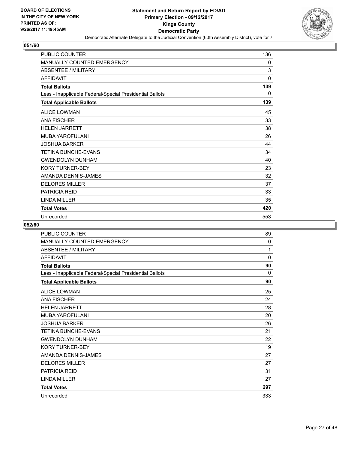

| <b>PUBLIC COUNTER</b>                                    | 136 |
|----------------------------------------------------------|-----|
| MANUALLY COUNTED EMERGENCY                               | 0   |
| <b>ABSENTEE / MILITARY</b>                               | 3   |
| <b>AFFIDAVIT</b>                                         | 0   |
| <b>Total Ballots</b>                                     | 139 |
| Less - Inapplicable Federal/Special Presidential Ballots | 0   |
| <b>Total Applicable Ballots</b>                          | 139 |
| <b>ALICE LOWMAN</b>                                      | 45  |
| <b>ANA FISCHER</b>                                       | 33  |
| <b>HELEN JARRETT</b>                                     | 38  |
| <b>MUBA YAROFULANI</b>                                   | 26  |
| <b>JOSHUA BARKER</b>                                     | 44  |
| <b>TETINA BUNCHE-EVANS</b>                               | 34  |
| <b>GWENDOLYN DUNHAM</b>                                  | 40  |
| <b>KORY TURNER-BEY</b>                                   | 23  |
| AMANDA DENNIS-JAMES                                      | 32  |
| <b>DELORES MILLER</b>                                    | 37  |
| <b>PATRICIA REID</b>                                     | 33  |
| <b>LINDA MILLER</b>                                      | 35  |
| <b>Total Votes</b>                                       | 420 |
| Unrecorded                                               | 553 |

| PUBLIC COUNTER                                           | 89           |
|----------------------------------------------------------|--------------|
| <b>MANUALLY COUNTED EMERGENCY</b>                        | 0            |
| <b>ABSENTEE / MILITARY</b>                               | 1            |
| <b>AFFIDAVIT</b>                                         | $\mathbf{0}$ |
| <b>Total Ballots</b>                                     | 90           |
| Less - Inapplicable Federal/Special Presidential Ballots | 0            |
| <b>Total Applicable Ballots</b>                          | 90           |
| <b>ALICE LOWMAN</b>                                      | 25           |
| <b>ANA FISCHER</b>                                       | 24           |
| <b>HELEN JARRETT</b>                                     | 28           |
| MUBA YAROFULANI                                          | 20           |
| <b>JOSHUA BARKER</b>                                     | 26           |
| <b>TETINA BUNCHE-EVANS</b>                               | 21           |
| <b>GWENDOLYN DUNHAM</b>                                  | 22           |
| <b>KORY TURNER-BEY</b>                                   | 19           |
| AMANDA DENNIS-JAMES                                      | 27           |
| <b>DELORES MILLER</b>                                    | 27           |
| <b>PATRICIA REID</b>                                     | 31           |
| <b>LINDA MILLER</b>                                      | 27           |
| <b>Total Votes</b>                                       | 297          |
| Unrecorded                                               | 333          |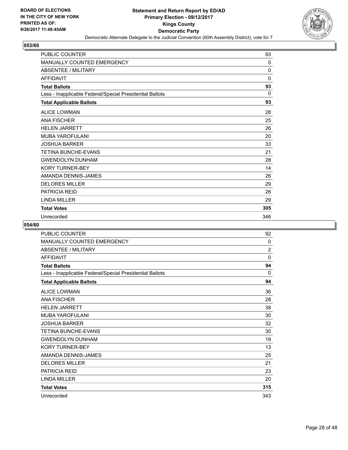

| <b>PUBLIC COUNTER</b>                                    | 93           |
|----------------------------------------------------------|--------------|
| MANUALLY COUNTED EMERGENCY                               | $\Omega$     |
| <b>ABSENTEE / MILITARY</b>                               | $\mathbf{0}$ |
| <b>AFFIDAVIT</b>                                         | $\mathbf{0}$ |
| <b>Total Ballots</b>                                     | 93           |
| Less - Inapplicable Federal/Special Presidential Ballots | $\Omega$     |
| <b>Total Applicable Ballots</b>                          | 93           |
| <b>ALICE LOWMAN</b>                                      | 28           |
| <b>ANA FISCHER</b>                                       | 25           |
| <b>HELEN JARRETT</b>                                     | 26           |
| <b>MUBA YAROFULANI</b>                                   | 20           |
| <b>JOSHUA BARKER</b>                                     | 33           |
| <b>TETINA BUNCHE-EVANS</b>                               | 21           |
| <b>GWENDOLYN DUNHAM</b>                                  | 28           |
| <b>KORY TURNER-BEY</b>                                   | 14           |
| AMANDA DENNIS-JAMES                                      | 26           |
| <b>DELORES MILLER</b>                                    | 29           |
| <b>PATRICIA REID</b>                                     | 26           |
| <b>LINDA MILLER</b>                                      | 29           |
| <b>Total Votes</b>                                       | 305          |
| Unrecorded                                               | 346          |

| PUBLIC COUNTER                                           | 92             |
|----------------------------------------------------------|----------------|
| <b>MANUALLY COUNTED EMERGENCY</b>                        | 0              |
| <b>ABSENTEE / MILITARY</b>                               | $\overline{2}$ |
| <b>AFFIDAVIT</b>                                         | 0              |
| <b>Total Ballots</b>                                     | 94             |
| Less - Inapplicable Federal/Special Presidential Ballots | 0              |
| <b>Total Applicable Ballots</b>                          | 94             |
| <b>ALICE LOWMAN</b>                                      | 36             |
| <b>ANA FISCHER</b>                                       | 28             |
| <b>HELEN JARRETT</b>                                     | 38             |
| <b>MUBA YAROFULANI</b>                                   | 30             |
| <b>JOSHUA BARKER</b>                                     | 32             |
| <b>TETINA BUNCHE-EVANS</b>                               | 30             |
| <b>GWENDOLYN DUNHAM</b>                                  | 19             |
| <b>KORY TURNER-BEY</b>                                   | 13             |
| AMANDA DENNIS-JAMES                                      | 25             |
| <b>DELORES MILLER</b>                                    | 21             |
| <b>PATRICIA REID</b>                                     | 23             |
| <b>LINDA MILLER</b>                                      | 20             |
| <b>Total Votes</b>                                       | 315            |
| Unrecorded                                               | 343            |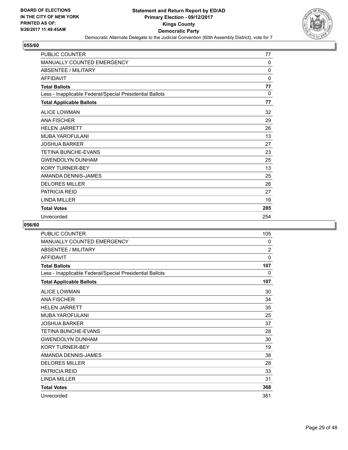

| <b>PUBLIC COUNTER</b>                                    | 77           |
|----------------------------------------------------------|--------------|
| MANUALLY COUNTED EMERGENCY                               | 0            |
| <b>ABSENTEE / MILITARY</b>                               | $\mathbf{0}$ |
| <b>AFFIDAVIT</b>                                         | $\mathbf{0}$ |
| <b>Total Ballots</b>                                     | 77           |
| Less - Inapplicable Federal/Special Presidential Ballots | $\Omega$     |
| <b>Total Applicable Ballots</b>                          | 77           |
| <b>ALICE LOWMAN</b>                                      | 32           |
| <b>ANA FISCHER</b>                                       | 29           |
| <b>HELEN JARRETT</b>                                     | 26           |
| <b>MUBA YAROFULANI</b>                                   | 13           |
| <b>JOSHUA BARKER</b>                                     | 27           |
| <b>TETINA BUNCHE-EVANS</b>                               | 23           |
| <b>GWENDOLYN DUNHAM</b>                                  | 25           |
| <b>KORY TURNER-BEY</b>                                   | 13           |
| AMANDA DENNIS-JAMES                                      | 25           |
| <b>DELORES MILLER</b>                                    | 26           |
| <b>PATRICIA REID</b>                                     | 27           |
| <b>I INDA MILLER</b>                                     | 19           |
| <b>Total Votes</b>                                       | 285          |
| Unrecorded                                               | 254          |

| <b>PUBLIC COUNTER</b>                                    | 105            |
|----------------------------------------------------------|----------------|
| MANUALLY COUNTED EMERGENCY                               | 0              |
| <b>ABSENTEE / MILITARY</b>                               | $\overline{2}$ |
| <b>AFFIDAVIT</b>                                         | 0              |
| <b>Total Ballots</b>                                     | 107            |
| Less - Inapplicable Federal/Special Presidential Ballots | 0              |
| <b>Total Applicable Ballots</b>                          | 107            |
| <b>ALICE LOWMAN</b>                                      | 30             |
| <b>ANA FISCHER</b>                                       | 34             |
| <b>HELEN JARRETT</b>                                     | 35             |
| MUBA YAROFULANI                                          | 25             |
| JOSHUA BARKER                                            | 37             |
| <b>TETINA BUNCHE-EVANS</b>                               | 28             |
| <b>GWENDOLYN DUNHAM</b>                                  | 30             |
| <b>KORY TURNER-BEY</b>                                   | 19             |
| AMANDA DENNIS-JAMES                                      | 38             |
| <b>DELORES MILLER</b>                                    | 28             |
| <b>PATRICIA REID</b>                                     | 33             |
| <b>LINDA MILLER</b>                                      | 31             |
| <b>Total Votes</b>                                       | 368            |
| Unrecorded                                               | 381            |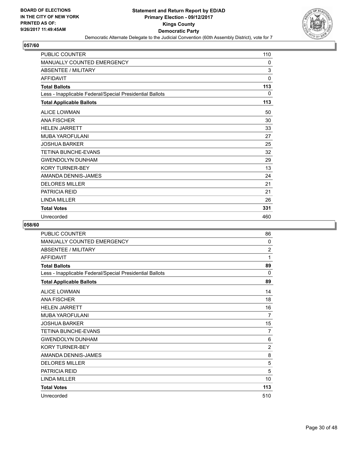

| <b>PUBLIC COUNTER</b>                                    | 110 |
|----------------------------------------------------------|-----|
| MANUALLY COUNTED EMERGENCY                               | 0   |
| <b>ABSENTEE / MILITARY</b>                               | 3   |
| <b>AFFIDAVIT</b>                                         | 0   |
| <b>Total Ballots</b>                                     | 113 |
| Less - Inapplicable Federal/Special Presidential Ballots | 0   |
| <b>Total Applicable Ballots</b>                          | 113 |
| <b>ALICE LOWMAN</b>                                      | 50  |
| <b>ANA FISCHER</b>                                       | 30  |
| <b>HELEN JARRETT</b>                                     | 33  |
| <b>MUBA YAROFULANI</b>                                   | 27  |
| <b>JOSHUA BARKER</b>                                     | 25  |
| <b>TETINA BUNCHE-EVANS</b>                               | 32  |
| <b>GWENDOLYN DUNHAM</b>                                  | 29  |
| <b>KORY TURNER-BEY</b>                                   | 13  |
| AMANDA DENNIS-JAMES                                      | 24  |
| <b>DELORES MILLER</b>                                    | 21  |
| <b>PATRICIA REID</b>                                     | 21  |
| <b>LINDA MILLER</b>                                      | 26  |
| <b>Total Votes</b>                                       | 331 |
| Unrecorded                                               | 460 |

| PUBLIC COUNTER                                           | 86             |
|----------------------------------------------------------|----------------|
| <b>MANUALLY COUNTED EMERGENCY</b>                        | 0              |
| <b>ABSENTEE / MILITARY</b>                               | 2              |
| <b>AFFIDAVIT</b>                                         | 1              |
| <b>Total Ballots</b>                                     | 89             |
| Less - Inapplicable Federal/Special Presidential Ballots | 0              |
| <b>Total Applicable Ballots</b>                          | 89             |
| <b>ALICE LOWMAN</b>                                      | 14             |
| <b>ANA FISCHER</b>                                       | 18             |
| <b>HELEN JARRETT</b>                                     | 16             |
| <b>MUBA YAROFULANI</b>                                   | 7              |
| <b>JOSHUA BARKER</b>                                     | 15             |
| TETINA BUNCHE-EVANS                                      | 7              |
| <b>GWENDOLYN DUNHAM</b>                                  | 6              |
| <b>KORY TURNER-BEY</b>                                   | $\overline{2}$ |
| AMANDA DENNIS-JAMES                                      | 8              |
| <b>DELORES MILLER</b>                                    | 5              |
| <b>PATRICIA REID</b>                                     | 5              |
| <b>LINDA MILLER</b>                                      | 10             |
| <b>Total Votes</b>                                       | 113            |
| Unrecorded                                               | 510            |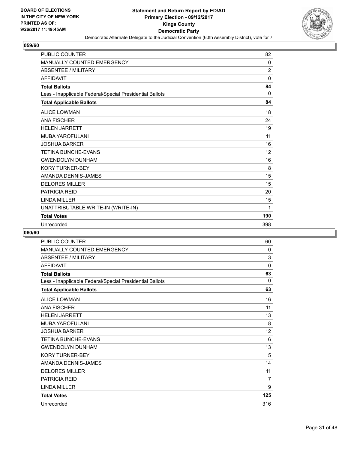

| <b>PUBLIC COUNTER</b>                                    | 82             |
|----------------------------------------------------------|----------------|
| <b>MANUALLY COUNTED EMERGENCY</b>                        | $\Omega$       |
| <b>ABSENTEE / MILITARY</b>                               | $\overline{2}$ |
| <b>AFFIDAVIT</b>                                         | $\mathbf{0}$   |
| <b>Total Ballots</b>                                     | 84             |
| Less - Inapplicable Federal/Special Presidential Ballots | $\Omega$       |
| <b>Total Applicable Ballots</b>                          | 84             |
| <b>ALICE LOWMAN</b>                                      | 18             |
| <b>ANA FISCHER</b>                                       | 24             |
| <b>HELEN JARRETT</b>                                     | 19             |
| <b>MUBA YAROFULANI</b>                                   | 11             |
| <b>JOSHUA BARKER</b>                                     | 16             |
| TETINA BUNCHE-EVANS                                      | 12             |
| <b>GWENDOLYN DUNHAM</b>                                  | 16             |
| <b>KORY TURNER-BEY</b>                                   | 8              |
| AMANDA DENNIS-JAMES                                      | 15             |
| <b>DELORES MILLER</b>                                    | 15             |
| <b>PATRICIA REID</b>                                     | 20             |
| <b>LINDA MILLER</b>                                      | 15             |
| UNATTRIBUTABLE WRITE-IN (WRITE-IN)                       | 1              |
| <b>Total Votes</b>                                       | 190            |
| Unrecorded                                               | 398            |

| PUBLIC COUNTER                                           | 60             |
|----------------------------------------------------------|----------------|
| MANUALLY COUNTED EMERGENCY                               | 0              |
| ABSENTEE / MILITARY                                      | 3              |
| <b>AFFIDAVIT</b>                                         | $\mathbf 0$    |
| <b>Total Ballots</b>                                     | 63             |
| Less - Inapplicable Federal/Special Presidential Ballots | $\Omega$       |
| <b>Total Applicable Ballots</b>                          | 63             |
| <b>ALICE LOWMAN</b>                                      | 16             |
| <b>ANA FISCHER</b>                                       | 11             |
| <b>HELEN JARRETT</b>                                     | 13             |
| MUBA YAROFULANI                                          | 8              |
| <b>JOSHUA BARKER</b>                                     | 12             |
| <b>TETINA BUNCHE-EVANS</b>                               | 6              |
| <b>GWENDOLYN DUNHAM</b>                                  | 13             |
| <b>KORY TURNER-BEY</b>                                   | 5              |
| AMANDA DENNIS-JAMES                                      | 14             |
| <b>DELORES MILLER</b>                                    | 11             |
| <b>PATRICIA REID</b>                                     | $\overline{7}$ |
| <b>LINDA MILLER</b>                                      | 9              |
| <b>Total Votes</b>                                       | 125            |
| Unrecorded                                               | 316            |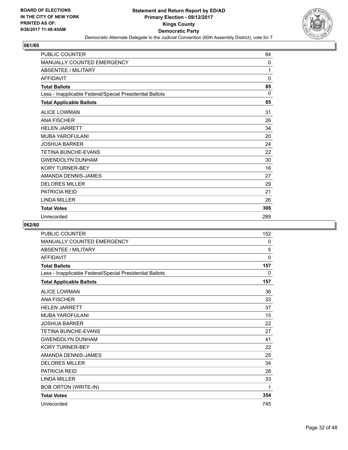

| PUBLIC COUNTER                                           | 84       |
|----------------------------------------------------------|----------|
| MANUALLY COUNTED EMERGENCY                               | 0        |
| <b>ABSENTEE / MILITARY</b>                               | 1        |
| <b>AFFIDAVIT</b>                                         | 0        |
| <b>Total Ballots</b>                                     | 85       |
| Less - Inapplicable Federal/Special Presidential Ballots | $\Omega$ |
| <b>Total Applicable Ballots</b>                          | 85       |
| <b>ALICE LOWMAN</b>                                      | 31       |
| <b>ANA FISCHER</b>                                       | 26       |
| <b>HELEN JARRETT</b>                                     | 34       |
| MUBA YAROFULANI                                          | 20       |
| <b>JOSHUA BARKER</b>                                     | 24       |
| <b>TETINA BUNCHE-EVANS</b>                               | 22       |
| <b>GWENDOLYN DUNHAM</b>                                  | 30       |
| <b>KORY TURNER-BEY</b>                                   | 16       |
| AMANDA DENNIS-JAMES                                      | 27       |
| <b>DELORES MILLER</b>                                    | 29       |
| <b>PATRICIA REID</b>                                     | 21       |
| <b>LINDA MILLER</b>                                      | 26       |
| <b>Total Votes</b>                                       | 306      |
| Unrecorded                                               | 289      |

| <b>PUBLIC COUNTER</b>                                    | 152 |
|----------------------------------------------------------|-----|
| MANUALLY COUNTED EMERGENCY                               | 0   |
| <b>ABSENTEE / MILITARY</b>                               | 5   |
| <b>AFFIDAVIT</b>                                         | 0   |
| <b>Total Ballots</b>                                     | 157 |
| Less - Inapplicable Federal/Special Presidential Ballots | 0   |
| <b>Total Applicable Ballots</b>                          | 157 |
| <b>ALICE LOWMAN</b>                                      | 36  |
| <b>ANA FISCHER</b>                                       | 33  |
| <b>HELEN JARRETT</b>                                     | 37  |
| <b>MUBA YAROFULANI</b>                                   | 15  |
| <b>JOSHUA BARKER</b>                                     | 22  |
| <b>TETINA BUNCHE-EVANS</b>                               | 27  |
| <b>GWENDOLYN DUNHAM</b>                                  | 41  |
| <b>KORY TURNER-BEY</b>                                   | 22  |
| AMANDA DENNIS-JAMES                                      | 25  |
| <b>DELORES MILLER</b>                                    | 34  |
| <b>PATRICIA REID</b>                                     | 28  |
| <b>LINDA MILLER</b>                                      | 33  |
| <b>BOB ORTON (WRITE-IN)</b>                              | 1   |
| <b>Total Votes</b>                                       | 354 |
| Unrecorded                                               | 745 |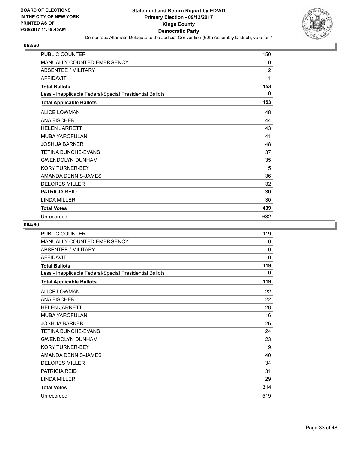

| <b>PUBLIC COUNTER</b>                                    | 150            |
|----------------------------------------------------------|----------------|
| MANUALLY COUNTED EMERGENCY                               | 0              |
| <b>ABSENTEE / MILITARY</b>                               | $\overline{2}$ |
| <b>AFFIDAVIT</b>                                         | 1              |
| <b>Total Ballots</b>                                     | 153            |
| Less - Inapplicable Federal/Special Presidential Ballots | 0              |
| <b>Total Applicable Ballots</b>                          | 153            |
| <b>ALICE LOWMAN</b>                                      | 48             |
| <b>ANA FISCHER</b>                                       | 44             |
| <b>HELEN JARRETT</b>                                     | 43             |
| <b>MUBA YAROFULANI</b>                                   | 41             |
| <b>JOSHUA BARKER</b>                                     | 48             |
| <b>TETINA BUNCHE-EVANS</b>                               | 37             |
| <b>GWENDOLYN DUNHAM</b>                                  | 35             |
| <b>KORY TURNER-BEY</b>                                   | 15             |
| AMANDA DENNIS-JAMES                                      | 36             |
| <b>DELORES MILLER</b>                                    | 32             |
| <b>PATRICIA REID</b>                                     | 30             |
| <b>LINDA MILLER</b>                                      | 30             |
| <b>Total Votes</b>                                       | 439            |
| Unrecorded                                               | 632            |

| <b>PUBLIC COUNTER</b>                                    | 119 |
|----------------------------------------------------------|-----|
| MANUALLY COUNTED EMERGENCY                               | 0   |
| <b>ABSENTEE / MILITARY</b>                               | 0   |
| <b>AFFIDAVIT</b>                                         | 0   |
| <b>Total Ballots</b>                                     | 119 |
| Less - Inapplicable Federal/Special Presidential Ballots | 0   |
| <b>Total Applicable Ballots</b>                          | 119 |
| <b>ALICE LOWMAN</b>                                      | 22  |
| <b>ANA FISCHER</b>                                       | 22  |
| <b>HELEN JARRETT</b>                                     | 28  |
| MUBA YAROFULANI                                          | 16  |
| JOSHUA BARKER                                            | 26  |
| <b>TETINA BUNCHE-EVANS</b>                               | 24  |
| <b>GWENDOLYN DUNHAM</b>                                  | 23  |
| <b>KORY TURNER-BEY</b>                                   | 19  |
| AMANDA DENNIS-JAMES                                      | 40  |
| <b>DELORES MILLER</b>                                    | 34  |
| <b>PATRICIA REID</b>                                     | 31  |
| <b>LINDA MILLER</b>                                      | 29  |
| <b>Total Votes</b>                                       | 314 |
| Unrecorded                                               | 519 |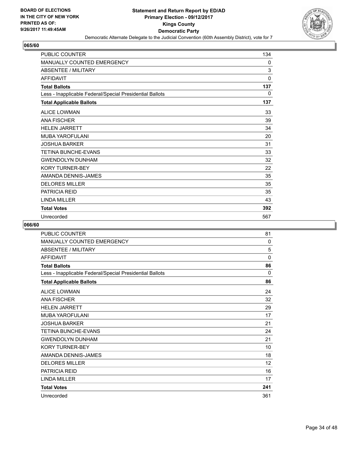

| <b>PUBLIC COUNTER</b>                                    | 134 |
|----------------------------------------------------------|-----|
| MANUALLY COUNTED EMERGENCY                               | 0   |
| <b>ABSENTEE / MILITARY</b>                               | 3   |
| <b>AFFIDAVIT</b>                                         | 0   |
| <b>Total Ballots</b>                                     | 137 |
| Less - Inapplicable Federal/Special Presidential Ballots | 0   |
| <b>Total Applicable Ballots</b>                          | 137 |
| <b>ALICE LOWMAN</b>                                      | 33  |
| <b>ANA FISCHER</b>                                       | 39  |
| <b>HELEN JARRETT</b>                                     | 34  |
| <b>MUBA YAROFULANI</b>                                   | 20  |
| <b>JOSHUA BARKER</b>                                     | 31  |
| <b>TETINA BUNCHE-EVANS</b>                               | 33  |
| <b>GWENDOLYN DUNHAM</b>                                  | 32  |
| <b>KORY TURNER-BEY</b>                                   | 22  |
| AMANDA DENNIS-JAMES                                      | 35  |
| <b>DELORES MILLER</b>                                    | 35  |
| <b>PATRICIA REID</b>                                     | 35  |
| <b>LINDA MILLER</b>                                      | 43  |
| <b>Total Votes</b>                                       | 392 |
| Unrecorded                                               | 567 |

| PUBLIC COUNTER                                           | 81          |
|----------------------------------------------------------|-------------|
| <b>MANUALLY COUNTED EMERGENCY</b>                        | $\Omega$    |
| <b>ABSENTEE / MILITARY</b>                               | 5           |
| <b>AFFIDAVIT</b>                                         | $\mathbf 0$ |
| <b>Total Ballots</b>                                     | 86          |
| Less - Inapplicable Federal/Special Presidential Ballots | $\Omega$    |
| <b>Total Applicable Ballots</b>                          | 86          |
| <b>ALICE LOWMAN</b>                                      | 24          |
| <b>ANA FISCHER</b>                                       | 32          |
| <b>HELEN JARRETT</b>                                     | 29          |
| MUBA YAROFULANI                                          | 17          |
| JOSHUA BARKER                                            | 21          |
| <b>TETINA BUNCHE-EVANS</b>                               | 24          |
| <b>GWENDOLYN DUNHAM</b>                                  | 21          |
| <b>KORY TURNER-BEY</b>                                   | 10          |
| AMANDA DENNIS-JAMES                                      | 18          |
| <b>DELORES MILLER</b>                                    | 12          |
| <b>PATRICIA REID</b>                                     | 16          |
| <b>LINDA MILLER</b>                                      | 17          |
| <b>Total Votes</b>                                       | 241         |
| Unrecorded                                               | 361         |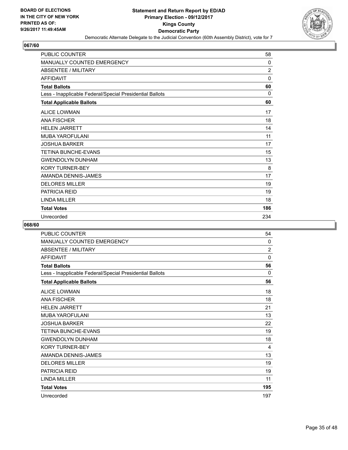

| <b>PUBLIC COUNTER</b>                                    | 58           |
|----------------------------------------------------------|--------------|
| MANUALLY COUNTED EMERGENCY                               | 0            |
| <b>ABSENTEE / MILITARY</b>                               | 2            |
| <b>AFFIDAVIT</b>                                         | $\mathbf{0}$ |
| <b>Total Ballots</b>                                     | 60           |
| Less - Inapplicable Federal/Special Presidential Ballots | $\Omega$     |
| <b>Total Applicable Ballots</b>                          | 60           |
| <b>ALICE LOWMAN</b>                                      | 17           |
| <b>ANA FISCHER</b>                                       | 18           |
| <b>HELEN JARRETT</b>                                     | 14           |
| <b>MUBA YAROFULANI</b>                                   | 11           |
| <b>JOSHUA BARKER</b>                                     | 17           |
| <b>TETINA BUNCHE-EVANS</b>                               | 15           |
| <b>GWENDOLYN DUNHAM</b>                                  | 13           |
| <b>KORY TURNER-BEY</b>                                   | 8            |
| AMANDA DENNIS-JAMES                                      | 17           |
| <b>DELORES MILLER</b>                                    | 19           |
| <b>PATRICIA REID</b>                                     | 19           |
| <b>I INDA MILLER</b>                                     | 18           |
| <b>Total Votes</b>                                       | 186          |
| Unrecorded                                               | 234          |

| PUBLIC COUNTER                                           | 54             |
|----------------------------------------------------------|----------------|
| MANUALLY COUNTED EMERGENCY                               | 0              |
| <b>ABSENTEE / MILITARY</b>                               | $\overline{2}$ |
| <b>AFFIDAVIT</b>                                         | 0              |
| <b>Total Ballots</b>                                     | 56             |
| Less - Inapplicable Federal/Special Presidential Ballots | 0              |
| <b>Total Applicable Ballots</b>                          | 56             |
| <b>ALICE LOWMAN</b>                                      | 18             |
| <b>ANA FISCHER</b>                                       | 18             |
| <b>HELEN JARRETT</b>                                     | 21             |
| MUBA YAROFULANI                                          | 13             |
| <b>JOSHUA BARKER</b>                                     | 22             |
| TETINA BUNCHE-EVANS                                      | 19             |
| <b>GWENDOLYN DUNHAM</b>                                  | 18             |
| <b>KORY TURNER-BEY</b>                                   | 4              |
| AMANDA DENNIS-JAMES                                      | 13             |
| <b>DELORES MILLER</b>                                    | 19             |
| <b>PATRICIA REID</b>                                     | 19             |
| <b>LINDA MILLER</b>                                      | 11             |
| <b>Total Votes</b>                                       | 195            |
| Unrecorded                                               | 197            |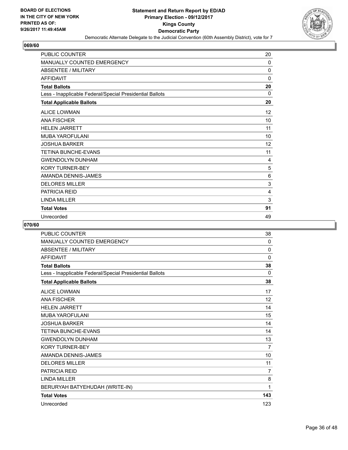

| <b>PUBLIC COUNTER</b>                                    | 20 |
|----------------------------------------------------------|----|
| MANUALLY COUNTED EMERGENCY                               | 0  |
| <b>ABSENTEE / MILITARY</b>                               | 0  |
| <b>AFFIDAVIT</b>                                         | 0  |
| <b>Total Ballots</b>                                     | 20 |
| Less - Inapplicable Federal/Special Presidential Ballots | 0  |
| <b>Total Applicable Ballots</b>                          | 20 |
| <b>ALICE LOWMAN</b>                                      | 12 |
| <b>ANA FISCHER</b>                                       | 10 |
| <b>HELEN JARRETT</b>                                     | 11 |
| <b>MUBA YAROFULANI</b>                                   | 10 |
| <b>JOSHUA BARKER</b>                                     | 12 |
| <b>TETINA BUNCHE-EVANS</b>                               | 11 |
| <b>GWENDOLYN DUNHAM</b>                                  | 4  |
| <b>KORY TURNER-BEY</b>                                   | 5  |
| AMANDA DENNIS-JAMES                                      | 6  |
| <b>DELORES MILLER</b>                                    | 3  |
| <b>PATRICIA REID</b>                                     | 4  |
| <b>LINDA MILLER</b>                                      | 3  |
| <b>Total Votes</b>                                       | 91 |
| Unrecorded                                               | 49 |

| <b>PUBLIC COUNTER</b>                                    | 38             |
|----------------------------------------------------------|----------------|
| <b>MANUALLY COUNTED EMERGENCY</b>                        | $\mathbf{0}$   |
| <b>ABSENTEE / MILITARY</b>                               | 0              |
| <b>AFFIDAVIT</b>                                         | $\Omega$       |
| <b>Total Ballots</b>                                     | 38             |
| Less - Inapplicable Federal/Special Presidential Ballots | $\mathbf{0}$   |
| <b>Total Applicable Ballots</b>                          | 38             |
| <b>ALICE LOWMAN</b>                                      | 17             |
| <b>ANA FISCHER</b>                                       | 12             |
| <b>HELEN JARRETT</b>                                     | 14             |
| <b>MUBA YAROFULANI</b>                                   | 15             |
| <b>JOSHUA BARKER</b>                                     | 14             |
| <b>TETINA BUNCHE-EVANS</b>                               | 14             |
| <b>GWENDOLYN DUNHAM</b>                                  | 13             |
| <b>KORY TURNER-BEY</b>                                   | $\overline{7}$ |
| AMANDA DENNIS-JAMES                                      | 10             |
| <b>DELORES MILLER</b>                                    | 11             |
| <b>PATRICIA REID</b>                                     | $\overline{7}$ |
| <b>LINDA MILLER</b>                                      | 8              |
| BERURYAH BATYEHUDAH (WRITE-IN)                           | 1              |
| <b>Total Votes</b>                                       | 143            |
| Unrecorded                                               | 123            |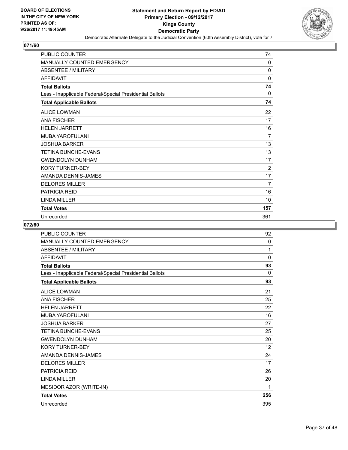

| <b>PUBLIC COUNTER</b>                                    | 74             |
|----------------------------------------------------------|----------------|
| MANUALLY COUNTED EMERGENCY                               | 0              |
| <b>ABSENTEE / MILITARY</b>                               | $\mathbf{0}$   |
| <b>AFFIDAVIT</b>                                         | 0              |
| <b>Total Ballots</b>                                     | 74             |
| Less - Inapplicable Federal/Special Presidential Ballots | $\Omega$       |
| <b>Total Applicable Ballots</b>                          | 74             |
| <b>ALICE LOWMAN</b>                                      | 22             |
| <b>ANA FISCHER</b>                                       | 17             |
| <b>HELEN JARRETT</b>                                     | 16             |
| <b>MUBA YAROFULANI</b>                                   | $\overline{7}$ |
| <b>JOSHUA BARKER</b>                                     | 13             |
| <b>TETINA BUNCHE-EVANS</b>                               | 13             |
| <b>GWENDOLYN DUNHAM</b>                                  | 17             |
| <b>KORY TURNER-BEY</b>                                   | $\overline{2}$ |
| AMANDA DENNIS-JAMES                                      | 17             |
| <b>DELORES MILLER</b>                                    | 7              |
| <b>PATRICIA REID</b>                                     | 16             |
| <b>LINDA MILLER</b>                                      | 10             |
| <b>Total Votes</b>                                       | 157            |
| Unrecorded                                               | 361            |

| <b>PUBLIC COUNTER</b>                                    | 92           |
|----------------------------------------------------------|--------------|
| <b>MANUALLY COUNTED EMERGENCY</b>                        | 0            |
| <b>ABSENTEE / MILITARY</b>                               | 1            |
| <b>AFFIDAVIT</b>                                         | $\mathbf{0}$ |
| <b>Total Ballots</b>                                     | 93           |
| Less - Inapplicable Federal/Special Presidential Ballots | 0            |
| <b>Total Applicable Ballots</b>                          | 93           |
| <b>ALICE LOWMAN</b>                                      | 21           |
| <b>ANA FISCHER</b>                                       | 25           |
| <b>HELEN JARRETT</b>                                     | 22           |
| <b>MUBA YAROFULANI</b>                                   | 16           |
| <b>JOSHUA BARKER</b>                                     | 27           |
| <b>TETINA BUNCHE-EVANS</b>                               | 25           |
| <b>GWENDOLYN DUNHAM</b>                                  | 20           |
| <b>KORY TURNER-BEY</b>                                   | 12           |
| AMANDA DENNIS-JAMES                                      | 24           |
| <b>DELORES MILLER</b>                                    | 17           |
| <b>PATRICIA REID</b>                                     | 26           |
| <b>LINDA MILLER</b>                                      | 20           |
| MESIDOR AZOR (WRITE-IN)                                  | 1            |
| <b>Total Votes</b>                                       | 256          |
| Unrecorded                                               | 395          |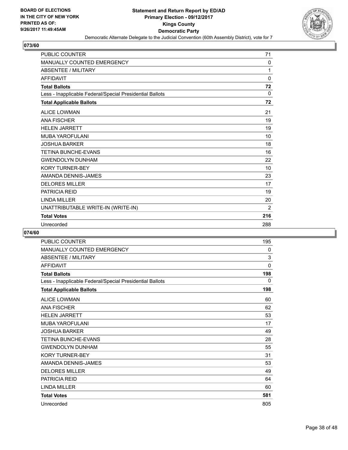

| <b>PUBLIC COUNTER</b>                                    | 71       |
|----------------------------------------------------------|----------|
| MANUALLY COUNTED EMERGENCY                               | 0        |
| <b>ABSENTEE / MILITARY</b>                               | 1        |
| <b>AFFIDAVIT</b>                                         | 0        |
| <b>Total Ballots</b>                                     | 72       |
| Less - Inapplicable Federal/Special Presidential Ballots | $\Omega$ |
| <b>Total Applicable Ballots</b>                          | 72       |
| <b>ALICE LOWMAN</b>                                      | 21       |
| <b>ANA FISCHER</b>                                       | 19       |
| <b>HELEN JARRETT</b>                                     | 19       |
| <b>MUBA YAROFULANI</b>                                   | 10       |
| <b>JOSHUA BARKER</b>                                     | 18       |
| <b>TETINA BUNCHE-EVANS</b>                               | 16       |
| <b>GWENDOLYN DUNHAM</b>                                  | 22       |
| <b>KORY TURNER-BEY</b>                                   | 10       |
| AMANDA DENNIS-JAMES                                      | 23       |
| <b>DELORES MILLER</b>                                    | 17       |
| <b>PATRICIA REID</b>                                     | 19       |
| <b>LINDA MILLER</b>                                      | 20       |
| UNATTRIBUTABLE WRITE-IN (WRITE-IN)                       | 2        |
| <b>Total Votes</b>                                       | 216      |
| Unrecorded                                               | 288      |

| <b>PUBLIC COUNTER</b>                                    | 195 |
|----------------------------------------------------------|-----|
| MANUALLY COUNTED EMERGENCY                               | 0   |
| <b>ABSENTEE / MILITARY</b>                               | 3   |
| <b>AFFIDAVIT</b>                                         | 0   |
| <b>Total Ballots</b>                                     | 198 |
| Less - Inapplicable Federal/Special Presidential Ballots | 0   |
| <b>Total Applicable Ballots</b>                          | 198 |
| <b>ALICE LOWMAN</b>                                      | 60  |
| <b>ANA FISCHER</b>                                       | 62  |
| <b>HELEN JARRETT</b>                                     | 53  |
| MUBA YAROFULANI                                          | 17  |
| <b>JOSHUA BARKER</b>                                     | 49  |
| <b>TETINA BUNCHE-EVANS</b>                               | 28  |
| <b>GWENDOLYN DUNHAM</b>                                  | 55  |
| <b>KORY TURNER-BEY</b>                                   | 31  |
| AMANDA DENNIS-JAMES                                      | 53  |
| <b>DELORES MILLER</b>                                    | 49  |
| <b>PATRICIA REID</b>                                     | 64  |
| <b>LINDA MILLER</b>                                      | 60  |
| <b>Total Votes</b>                                       | 581 |
| Unrecorded                                               | 805 |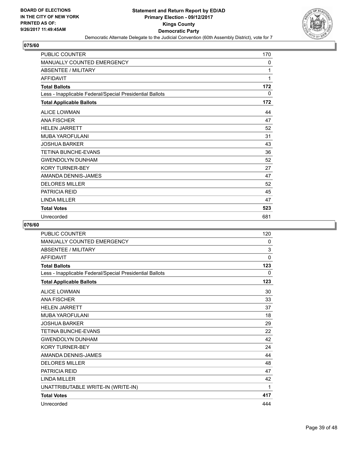

| <b>PUBLIC COUNTER</b>                                    | 170 |
|----------------------------------------------------------|-----|
| MANUALLY COUNTED EMERGENCY                               | 0   |
| <b>ABSENTEE / MILITARY</b>                               | 1   |
| <b>AFFIDAVIT</b>                                         | 1   |
| <b>Total Ballots</b>                                     | 172 |
| Less - Inapplicable Federal/Special Presidential Ballots | 0   |
| <b>Total Applicable Ballots</b>                          | 172 |
| <b>ALICE LOWMAN</b>                                      | 44  |
| <b>ANA FISCHER</b>                                       | 47  |
| <b>HELEN JARRETT</b>                                     | 52  |
| <b>MUBA YAROFULANI</b>                                   | 31  |
| <b>JOSHUA BARKER</b>                                     | 43  |
| <b>TETINA BUNCHE-EVANS</b>                               | 36  |
| <b>GWENDOLYN DUNHAM</b>                                  | 52  |
| <b>KORY TURNER-BEY</b>                                   | 27  |
| AMANDA DENNIS-JAMES                                      | 47  |
| <b>DELORES MILLER</b>                                    | 52  |
| <b>PATRICIA REID</b>                                     | 45  |
| <b>LINDA MILLER</b>                                      | 47  |
| <b>Total Votes</b>                                       | 523 |
| Unrecorded                                               | 681 |

| <b>PUBLIC COUNTER</b>                                    | 120         |
|----------------------------------------------------------|-------------|
| <b>MANUALLY COUNTED EMERGENCY</b>                        | 0           |
| <b>ABSENTEE / MILITARY</b>                               | 3           |
| <b>AFFIDAVIT</b>                                         | $\mathbf 0$ |
| <b>Total Ballots</b>                                     | 123         |
| Less - Inapplicable Federal/Special Presidential Ballots | 0           |
| <b>Total Applicable Ballots</b>                          | 123         |
| <b>ALICE LOWMAN</b>                                      | 30          |
| <b>ANA FISCHER</b>                                       | 33          |
| <b>HELEN JARRETT</b>                                     | 37          |
| <b>MUBA YAROFULANI</b>                                   | 18          |
| <b>JOSHUA BARKER</b>                                     | 29          |
| <b>TETINA BUNCHE-EVANS</b>                               | 22          |
| <b>GWENDOLYN DUNHAM</b>                                  | 42          |
| <b>KORY TURNER-BEY</b>                                   | 24          |
| AMANDA DENNIS-JAMES                                      | 44          |
| <b>DELORES MILLER</b>                                    | 48          |
| <b>PATRICIA REID</b>                                     | 47          |
| <b>LINDA MILLER</b>                                      | 42          |
| UNATTRIBUTABLE WRITE-IN (WRITE-IN)                       | 1           |
| <b>Total Votes</b>                                       | 417         |
| Unrecorded                                               | 444         |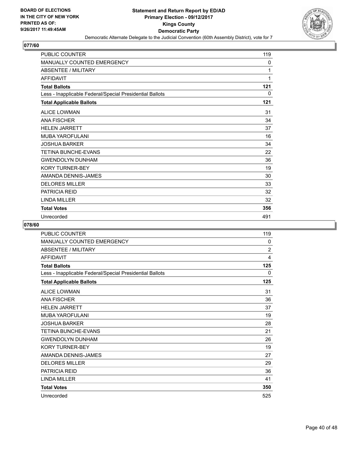

| <b>PUBLIC COUNTER</b>                                    | 119 |
|----------------------------------------------------------|-----|
| MANUALLY COUNTED EMERGENCY                               | 0   |
| <b>ABSENTEE / MILITARY</b>                               | 1   |
| <b>AFFIDAVIT</b>                                         | 1   |
| <b>Total Ballots</b>                                     | 121 |
| Less - Inapplicable Federal/Special Presidential Ballots | 0   |
| <b>Total Applicable Ballots</b>                          | 121 |
| <b>ALICE LOWMAN</b>                                      | 31  |
| <b>ANA FISCHER</b>                                       | 34  |
| <b>HELEN JARRETT</b>                                     | 37  |
| <b>MUBA YAROFULANI</b>                                   | 16  |
| <b>JOSHUA BARKER</b>                                     | 34  |
| <b>TETINA BUNCHE-EVANS</b>                               | 22  |
| <b>GWENDOLYN DUNHAM</b>                                  | 36  |
| <b>KORY TURNER-BEY</b>                                   | 19  |
| AMANDA DENNIS-JAMES                                      | 30  |
| <b>DELORES MILLER</b>                                    | 33  |
| <b>PATRICIA REID</b>                                     | 32  |
| LINDA MILLER                                             | 32  |
| <b>Total Votes</b>                                       | 356 |
| Unrecorded                                               | 491 |

| PUBLIC COUNTER                                           | 119            |
|----------------------------------------------------------|----------------|
| MANUALLY COUNTED EMERGENCY                               | 0              |
| <b>ABSENTEE / MILITARY</b>                               | $\overline{2}$ |
| <b>AFFIDAVIT</b>                                         | 4              |
| <b>Total Ballots</b>                                     | 125            |
| Less - Inapplicable Federal/Special Presidential Ballots | 0              |
| <b>Total Applicable Ballots</b>                          | 125            |
| <b>ALICE LOWMAN</b>                                      | 31             |
| <b>ANA FISCHER</b>                                       | 36             |
| <b>HELEN JARRETT</b>                                     | 37             |
| MUBA YAROFULANI                                          | 19             |
| JOSHUA BARKER                                            | 28             |
| <b>TETINA BUNCHE-EVANS</b>                               | 21             |
| <b>GWENDOLYN DUNHAM</b>                                  | 26             |
| <b>KORY TURNER-BEY</b>                                   | 19             |
| AMANDA DENNIS-JAMES                                      | 27             |
| <b>DELORES MILLER</b>                                    | 29             |
| <b>PATRICIA REID</b>                                     | 36             |
| <b>LINDA MILLER</b>                                      | 41             |
| <b>Total Votes</b>                                       | 350            |
| Unrecorded                                               | 525            |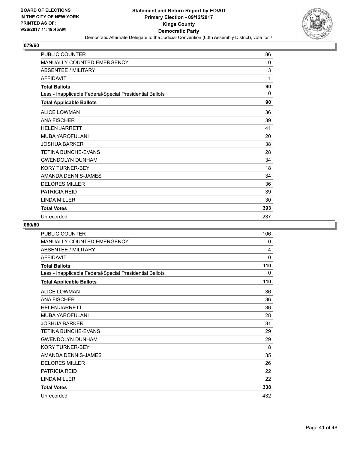

| <b>PUBLIC COUNTER</b>                                    | 86       |
|----------------------------------------------------------|----------|
| MANUALLY COUNTED EMERGENCY                               | $\Omega$ |
| <b>ABSENTEE / MILITARY</b>                               | 3        |
| <b>AFFIDAVIT</b>                                         | 1        |
| <b>Total Ballots</b>                                     | 90       |
| Less - Inapplicable Federal/Special Presidential Ballots | $\Omega$ |
| <b>Total Applicable Ballots</b>                          | 90       |
| <b>ALICE LOWMAN</b>                                      | 36       |
| <b>ANA FISCHER</b>                                       | 39       |
| <b>HELEN JARRETT</b>                                     | 41       |
| <b>MUBA YAROFULANI</b>                                   | 20       |
| <b>JOSHUA BARKER</b>                                     | 38       |
| <b>TETINA BUNCHE-EVANS</b>                               | 28       |
| <b>GWENDOLYN DUNHAM</b>                                  | 34       |
| <b>KORY TURNER-BEY</b>                                   | 18       |
| AMANDA DENNIS-JAMES                                      | 34       |
| <b>DELORES MILLER</b>                                    | 36       |
| <b>PATRICIA REID</b>                                     | 39       |
| <b>I INDA MILLER</b>                                     | 30       |
| <b>Total Votes</b>                                       | 393      |
| Unrecorded                                               | 237      |

| PUBLIC COUNTER                                           | 106 |
|----------------------------------------------------------|-----|
| <b>MANUALLY COUNTED EMERGENCY</b>                        | 0   |
| <b>ABSENTEE / MILITARY</b>                               | 4   |
| <b>AFFIDAVIT</b>                                         | 0   |
| <b>Total Ballots</b>                                     | 110 |
| Less - Inapplicable Federal/Special Presidential Ballots | 0   |
| <b>Total Applicable Ballots</b>                          | 110 |
| <b>ALICE LOWMAN</b>                                      | 36  |
| <b>ANA FISCHER</b>                                       | 36  |
| <b>HELEN JARRETT</b>                                     | 36  |
| <b>MUBA YAROFULANI</b>                                   | 28  |
| <b>JOSHUA BARKER</b>                                     | 31  |
| <b>TETINA BUNCHE-EVANS</b>                               | 29  |
| <b>GWENDOLYN DUNHAM</b>                                  | 29  |
| <b>KORY TURNER-BEY</b>                                   | 8   |
| AMANDA DENNIS-JAMES                                      | 35  |
| <b>DELORES MILLER</b>                                    | 26  |
| <b>PATRICIA REID</b>                                     | 22  |
| <b>LINDA MILLER</b>                                      | 22  |
| <b>Total Votes</b>                                       | 338 |
| Unrecorded                                               | 432 |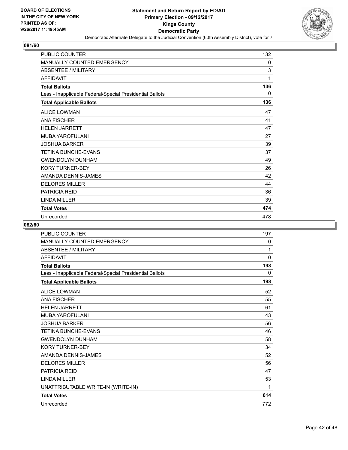

| <b>PUBLIC COUNTER</b>                                    | 132 |
|----------------------------------------------------------|-----|
| MANUALLY COUNTED EMERGENCY                               | 0   |
| <b>ABSENTEE / MILITARY</b>                               | 3   |
| <b>AFFIDAVIT</b>                                         | 1   |
| <b>Total Ballots</b>                                     | 136 |
| Less - Inapplicable Federal/Special Presidential Ballots | 0   |
| <b>Total Applicable Ballots</b>                          | 136 |
| <b>ALICE LOWMAN</b>                                      | 47  |
| <b>ANA FISCHER</b>                                       | 41  |
| <b>HELEN JARRETT</b>                                     | 47  |
| MUBA YAROFULANI                                          | 27  |
| <b>JOSHUA BARKER</b>                                     | 39  |
| <b>TETINA BUNCHE-EVANS</b>                               | 37  |
| <b>GWENDOLYN DUNHAM</b>                                  | 49  |
| <b>KORY TURNER-BEY</b>                                   | 26  |
| AMANDA DENNIS-JAMES                                      | 42  |
| <b>DELORES MILLER</b>                                    | 44  |
| <b>PATRICIA REID</b>                                     | 36  |
| <b>I INDA MILLER</b>                                     | 39  |
| <b>Total Votes</b>                                       | 474 |
| Unrecorded                                               | 478 |

| <b>PUBLIC COUNTER</b>                                    | 197      |
|----------------------------------------------------------|----------|
| <b>MANUALLY COUNTED EMERGENCY</b>                        | 0        |
| <b>ABSENTEE / MILITARY</b>                               | 1        |
| <b>AFFIDAVIT</b>                                         | $\Omega$ |
| <b>Total Ballots</b>                                     | 198      |
| Less - Inapplicable Federal/Special Presidential Ballots | 0        |
| <b>Total Applicable Ballots</b>                          | 198      |
| <b>ALICE LOWMAN</b>                                      | 52       |
| <b>ANA FISCHER</b>                                       | 55       |
| <b>HELEN JARRETT</b>                                     | 61       |
| <b>MUBA YAROFULANI</b>                                   | 43       |
| <b>JOSHUA BARKER</b>                                     | 56       |
| <b>TETINA BUNCHE-EVANS</b>                               | 46       |
| <b>GWENDOLYN DUNHAM</b>                                  | 58       |
| <b>KORY TURNER-BEY</b>                                   | 34       |
| AMANDA DENNIS-JAMES                                      | 52       |
| <b>DELORES MILLER</b>                                    | 56       |
| <b>PATRICIA REID</b>                                     | 47       |
| <b>LINDA MILLER</b>                                      | 53       |
| UNATTRIBUTABLE WRITE-IN (WRITE-IN)                       | 1        |
| <b>Total Votes</b>                                       | 614      |
| Unrecorded                                               | 772      |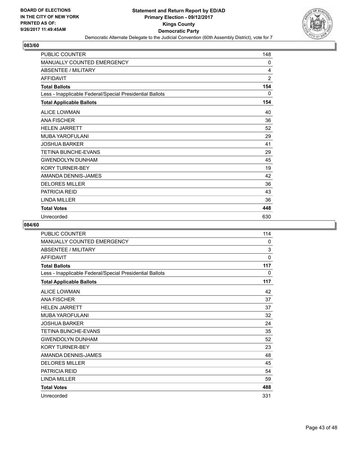

| <b>PUBLIC COUNTER</b>                                    | 148            |
|----------------------------------------------------------|----------------|
| MANUALLY COUNTED EMERGENCY                               | 0              |
| <b>ABSENTEE / MILITARY</b>                               | 4              |
| <b>AFFIDAVIT</b>                                         | $\overline{2}$ |
| <b>Total Ballots</b>                                     | 154            |
| Less - Inapplicable Federal/Special Presidential Ballots | 0              |
| <b>Total Applicable Ballots</b>                          | 154            |
| <b>ALICE LOWMAN</b>                                      | 40             |
| <b>ANA FISCHER</b>                                       | 36             |
| <b>HELEN JARRETT</b>                                     | 52             |
| <b>MUBA YAROFULANI</b>                                   | 29             |
| <b>JOSHUA BARKER</b>                                     | 41             |
| <b>TETINA BUNCHE-EVANS</b>                               | 29             |
| <b>GWENDOLYN DUNHAM</b>                                  | 45             |
| <b>KORY TURNER-BEY</b>                                   | 19             |
| AMANDA DENNIS-JAMES                                      | 42             |
| <b>DELORES MILLER</b>                                    | 36             |
| <b>PATRICIA REID</b>                                     | 43             |
| <b>LINDA MILLER</b>                                      | 36             |
| <b>Total Votes</b>                                       | 448            |
| Unrecorded                                               | 630            |

| PUBLIC COUNTER                                           | 114         |
|----------------------------------------------------------|-------------|
| MANUALLY COUNTED EMERGENCY                               | 0           |
| <b>ABSENTEE / MILITARY</b>                               | 3           |
| <b>AFFIDAVIT</b>                                         | $\mathbf 0$ |
| <b>Total Ballots</b>                                     | 117         |
| Less - Inapplicable Federal/Special Presidential Ballots | 0           |
| <b>Total Applicable Ballots</b>                          | 117         |
| <b>ALICE LOWMAN</b>                                      | 42          |
| <b>ANA FISCHER</b>                                       | 37          |
| <b>HELEN JARRETT</b>                                     | 37          |
| <b>MUBA YAROFULANI</b>                                   | 32          |
| <b>JOSHUA BARKER</b>                                     | 24          |
| <b>TETINA BUNCHE-EVANS</b>                               | 35          |
| <b>GWENDOLYN DUNHAM</b>                                  | 52          |
| <b>KORY TURNER-BEY</b>                                   | 23          |
| AMANDA DENNIS-JAMES                                      | 48          |
| <b>DELORES MILLER</b>                                    | 45          |
| <b>PATRICIA REID</b>                                     | 54          |
| <b>LINDA MILLER</b>                                      | 59          |
| <b>Total Votes</b>                                       | 488         |
| Unrecorded                                               | 331         |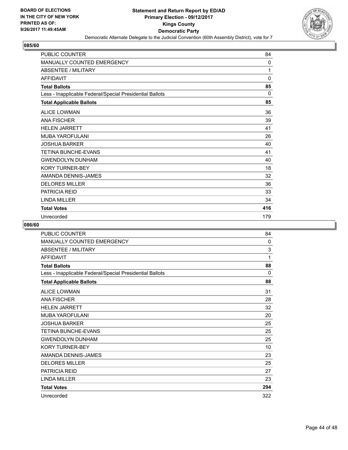

| <b>PUBLIC COUNTER</b>                                    | 84           |
|----------------------------------------------------------|--------------|
| MANUALLY COUNTED EMERGENCY                               | 0            |
| <b>ABSENTEE / MILITARY</b>                               | 1            |
| <b>AFFIDAVIT</b>                                         | $\mathbf 0$  |
| <b>Total Ballots</b>                                     | 85           |
| Less - Inapplicable Federal/Special Presidential Ballots | $\mathbf{0}$ |
| <b>Total Applicable Ballots</b>                          | 85           |
| <b>ALICE LOWMAN</b>                                      | 36           |
| <b>ANA FISCHER</b>                                       | 39           |
| <b>HELEN JARRETT</b>                                     | 41           |
| <b>MUBA YAROFULANI</b>                                   | 26           |
| <b>JOSHUA BARKER</b>                                     | 40           |
| <b>TETINA BUNCHE-EVANS</b>                               | 41           |
| <b>GWENDOLYN DUNHAM</b>                                  | 40           |
| <b>KORY TURNER-BEY</b>                                   | 18           |
| AMANDA DENNIS-JAMES                                      | 32           |
| <b>DELORES MILLER</b>                                    | 36           |
| <b>PATRICIA REID</b>                                     | 33           |
| <b>I INDA MILLER</b>                                     | 34           |
| <b>Total Votes</b>                                       | 416          |
| Unrecorded                                               | 179          |

| PUBLIC COUNTER                                           | 84           |
|----------------------------------------------------------|--------------|
| <b>MANUALLY COUNTED EMERGENCY</b>                        | $\mathbf{0}$ |
| <b>ABSENTEE / MILITARY</b>                               | 3            |
| <b>AFFIDAVIT</b>                                         | 1            |
| <b>Total Ballots</b>                                     | 88           |
| Less - Inapplicable Federal/Special Presidential Ballots | 0            |
| <b>Total Applicable Ballots</b>                          | 88           |
| <b>ALICE LOWMAN</b>                                      | 31           |
| <b>ANA FISCHER</b>                                       | 28           |
| <b>HELEN JARRETT</b>                                     | 32           |
| MUBA YAROFULANI                                          | 20           |
| <b>JOSHUA BARKER</b>                                     | 25           |
| <b>TETINA BUNCHE-EVANS</b>                               | 25           |
| <b>GWENDOLYN DUNHAM</b>                                  | 25           |
| <b>KORY TURNER-BEY</b>                                   | 10           |
| AMANDA DENNIS-JAMES                                      | 23           |
| <b>DELORES MILLER</b>                                    | 25           |
| <b>PATRICIA REID</b>                                     | 27           |
| <b>LINDA MILLER</b>                                      | 23           |
| <b>Total Votes</b>                                       | 294          |
| Unrecorded                                               | 322          |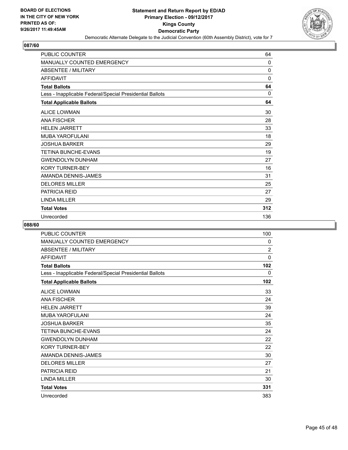

| <b>PUBLIC COUNTER</b>                                    | 64           |
|----------------------------------------------------------|--------------|
| MANUALLY COUNTED EMERGENCY                               | $\Omega$     |
| <b>ABSENTEE / MILITARY</b>                               | $\mathbf{0}$ |
| <b>AFFIDAVIT</b>                                         | $\mathbf{0}$ |
| <b>Total Ballots</b>                                     | 64           |
| Less - Inapplicable Federal/Special Presidential Ballots | $\Omega$     |
| <b>Total Applicable Ballots</b>                          | 64           |
| <b>ALICE LOWMAN</b>                                      | 30           |
| <b>ANA FISCHER</b>                                       | 28           |
| <b>HELEN JARRETT</b>                                     | 33           |
| <b>MUBA YAROFULANI</b>                                   | 18           |
| <b>JOSHUA BARKER</b>                                     | 29           |
| <b>TETINA BUNCHE-EVANS</b>                               | 19           |
| <b>GWENDOLYN DUNHAM</b>                                  | 27           |
| <b>KORY TURNER-BEY</b>                                   | 16           |
| AMANDA DENNIS-JAMES                                      | 31           |
| <b>DELORES MILLER</b>                                    | 25           |
| <b>PATRICIA REID</b>                                     | 27           |
| <b>LINDA MILLER</b>                                      | 29           |
| <b>Total Votes</b>                                       | 312          |
| Unrecorded                                               | 136          |

| PUBLIC COUNTER                                           | 100            |
|----------------------------------------------------------|----------------|
| <b>MANUALLY COUNTED EMERGENCY</b>                        | 0              |
| <b>ABSENTEE / MILITARY</b>                               | $\overline{2}$ |
| <b>AFFIDAVIT</b>                                         | 0              |
| <b>Total Ballots</b>                                     | 102            |
| Less - Inapplicable Federal/Special Presidential Ballots | 0              |
| <b>Total Applicable Ballots</b>                          | 102            |
| <b>ALICE LOWMAN</b>                                      | 33             |
| <b>ANA FISCHER</b>                                       | 24             |
| <b>HELEN JARRETT</b>                                     | 39             |
| <b>MUBA YAROFULANI</b>                                   | 24             |
| <b>JOSHUA BARKER</b>                                     | 35             |
| <b>TETINA BUNCHE-EVANS</b>                               | 24             |
| <b>GWENDOLYN DUNHAM</b>                                  | 22             |
| <b>KORY TURNER-BEY</b>                                   | 22             |
| AMANDA DENNIS-JAMES                                      | 30             |
| <b>DELORES MILLER</b>                                    | 27             |
| <b>PATRICIA REID</b>                                     | 21             |
| <b>LINDA MILLER</b>                                      | 30             |
| <b>Total Votes</b>                                       | 331            |
| Unrecorded                                               | 383            |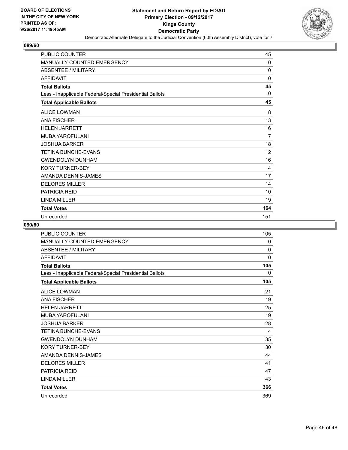

| <b>PUBLIC COUNTER</b>                                    | 45       |
|----------------------------------------------------------|----------|
| MANUALLY COUNTED EMERGENCY                               | 0        |
| <b>ABSENTEE / MILITARY</b>                               | 0        |
| <b>AFFIDAVIT</b>                                         | 0        |
| <b>Total Ballots</b>                                     | 45       |
| Less - Inapplicable Federal/Special Presidential Ballots | $\Omega$ |
| <b>Total Applicable Ballots</b>                          | 45       |
| <b>ALICE LOWMAN</b>                                      | 18       |
| <b>ANA FISCHER</b>                                       | 13       |
| <b>HELEN JARRETT</b>                                     | 16       |
| <b>MUBA YAROFULANI</b>                                   | 7        |
| <b>JOSHUA BARKER</b>                                     | 18       |
| <b>TETINA BUNCHE-EVANS</b>                               | 12       |
| <b>GWENDOLYN DUNHAM</b>                                  | 16       |
| <b>KORY TURNER-BEY</b>                                   | 4        |
| AMANDA DENNIS-JAMES                                      | 17       |
| <b>DELORES MILLER</b>                                    | 14       |
| <b>PATRICIA REID</b>                                     | 10       |
| <b>LINDA MILLER</b>                                      | 19       |
| <b>Total Votes</b>                                       | 164      |
| Unrecorded                                               | 151      |

| PUBLIC COUNTER                                           | 105 |
|----------------------------------------------------------|-----|
| <b>MANUALLY COUNTED EMERGENCY</b>                        | 0   |
| <b>ABSENTEE / MILITARY</b>                               | 0   |
| <b>AFFIDAVIT</b>                                         | 0   |
| <b>Total Ballots</b>                                     | 105 |
| Less - Inapplicable Federal/Special Presidential Ballots | 0   |
| <b>Total Applicable Ballots</b>                          | 105 |
| <b>ALICE LOWMAN</b>                                      | 21  |
| <b>ANA FISCHER</b>                                       | 19  |
| <b>HELEN JARRETT</b>                                     | 25  |
| <b>MUBA YAROFULANI</b>                                   | 19  |
| <b>JOSHUA BARKER</b>                                     | 28  |
| TETINA BUNCHE-EVANS                                      | 14  |
| <b>GWENDOLYN DUNHAM</b>                                  | 35  |
| <b>KORY TURNER-BEY</b>                                   | 30  |
| AMANDA DENNIS-JAMES                                      | 44  |
| <b>DELORES MILLER</b>                                    | 41  |
| PATRICIA REID                                            | 47  |
| <b>LINDA MILLER</b>                                      | 43  |
| <b>Total Votes</b>                                       | 366 |
| Unrecorded                                               | 369 |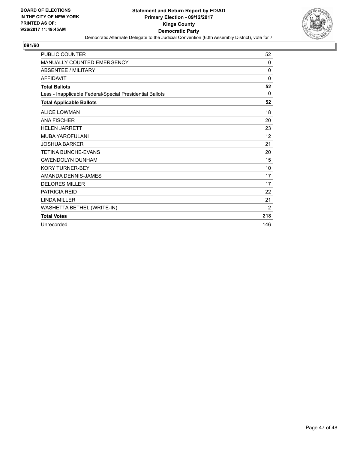

| <b>PUBLIC COUNTER</b>                                    | 52       |
|----------------------------------------------------------|----------|
| <b>MANUALLY COUNTED EMERGENCY</b>                        | 0        |
| <b>ABSENTEE / MILITARY</b>                               | 0        |
| <b>AFFIDAVIT</b>                                         | $\Omega$ |
| <b>Total Ballots</b>                                     | 52       |
| Less - Inapplicable Federal/Special Presidential Ballots | 0        |
| <b>Total Applicable Ballots</b>                          | 52       |
| <b>ALICE LOWMAN</b>                                      | 18       |
| <b>ANA FISCHER</b>                                       | 20       |
| <b>HELEN JARRETT</b>                                     | 23       |
| <b>MUBA YAROFULANI</b>                                   | 12       |
| <b>JOSHUA BARKER</b>                                     | 21       |
| <b>TETINA BUNCHE-EVANS</b>                               | 20       |
| <b>GWENDOLYN DUNHAM</b>                                  | 15       |
| <b>KORY TURNER-BEY</b>                                   | 10       |
| AMANDA DENNIS-JAMES                                      | 17       |
| <b>DELORES MILLER</b>                                    | 17       |
| <b>PATRICIA REID</b>                                     | 22       |
| <b>LINDA MILLER</b>                                      | 21       |
| WASHETTA BETHEL (WRITE-IN)                               | 2        |
| <b>Total Votes</b>                                       | 218      |
| Unrecorded                                               | 146      |